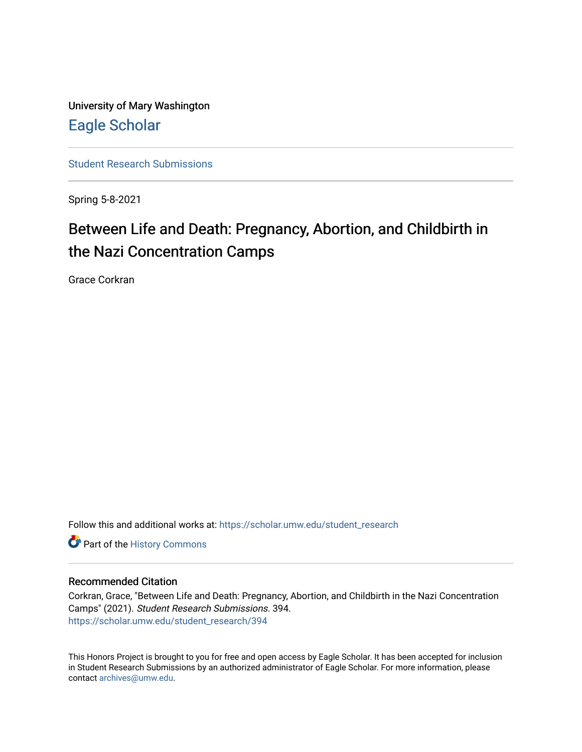University of Mary Washington [Eagle Scholar](https://scholar.umw.edu/) 

[Student Research Submissions](https://scholar.umw.edu/student_research) 

Spring 5-8-2021

# Between Life and Death: Pregnancy, Abortion, and Childbirth in the Nazi Concentration Camps

Grace Corkran

Follow this and additional works at: [https://scholar.umw.edu/student\\_research](https://scholar.umw.edu/student_research?utm_source=scholar.umw.edu%2Fstudent_research%2F394&utm_medium=PDF&utm_campaign=PDFCoverPages)

Part of the [History Commons](http://network.bepress.com/hgg/discipline/489?utm_source=scholar.umw.edu%2Fstudent_research%2F394&utm_medium=PDF&utm_campaign=PDFCoverPages) 

# Recommended Citation

Corkran, Grace, "Between Life and Death: Pregnancy, Abortion, and Childbirth in the Nazi Concentration Camps" (2021). Student Research Submissions. 394. [https://scholar.umw.edu/student\\_research/394](https://scholar.umw.edu/student_research/394?utm_source=scholar.umw.edu%2Fstudent_research%2F394&utm_medium=PDF&utm_campaign=PDFCoverPages)

This Honors Project is brought to you for free and open access by Eagle Scholar. It has been accepted for inclusion in Student Research Submissions by an authorized administrator of Eagle Scholar. For more information, please contact [archives@umw.edu](mailto:archives@umw.edu).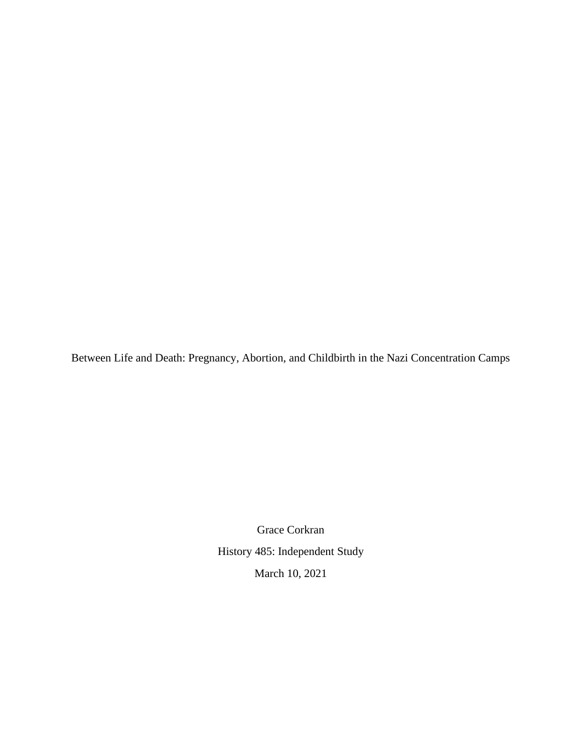Between Life and Death: Pregnancy, Abortion, and Childbirth in the Nazi Concentration Camps

Grace Corkran History 485: Independent Study March 10, 2021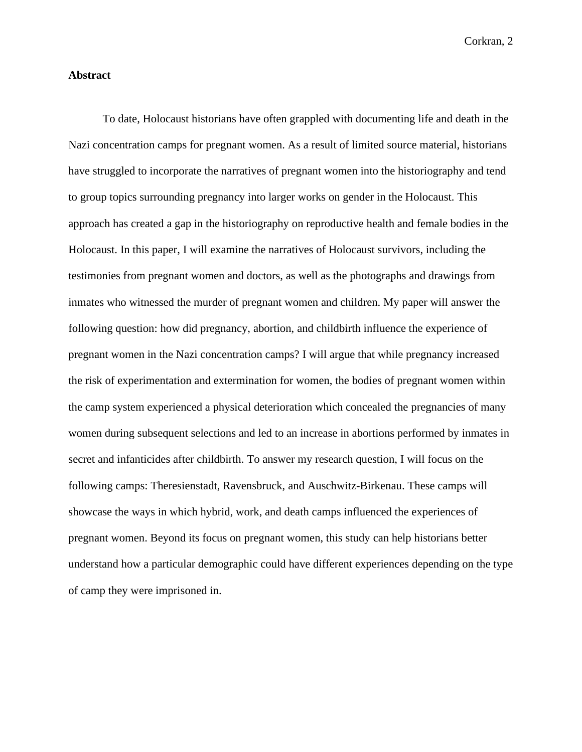## **Abstract**

To date, Holocaust historians have often grappled with documenting life and death in the Nazi concentration camps for pregnant women. As a result of limited source material, historians have struggled to incorporate the narratives of pregnant women into the historiography and tend to group topics surrounding pregnancy into larger works on gender in the Holocaust. This approach has created a gap in the historiography on reproductive health and female bodies in the Holocaust. In this paper, I will examine the narratives of Holocaust survivors, including the testimonies from pregnant women and doctors, as well as the photographs and drawings from inmates who witnessed the murder of pregnant women and children. My paper will answer the following question: how did pregnancy, abortion, and childbirth influence the experience of pregnant women in the Nazi concentration camps? I will argue that while pregnancy increased the risk of experimentation and extermination for women, the bodies of pregnant women within the camp system experienced a physical deterioration which concealed the pregnancies of many women during subsequent selections and led to an increase in abortions performed by inmates in secret and infanticides after childbirth. To answer my research question, I will focus on the following camps: Theresienstadt, Ravensbruck, and Auschwitz-Birkenau. These camps will showcase the ways in which hybrid, work, and death camps influenced the experiences of pregnant women. Beyond its focus on pregnant women, this study can help historians better understand how a particular demographic could have different experiences depending on the type of camp they were imprisoned in.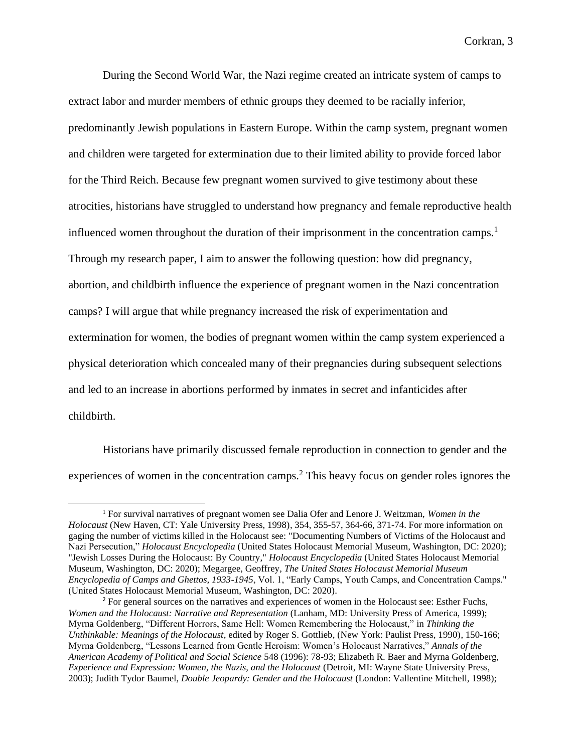During the Second World War, the Nazi regime created an intricate system of camps to extract labor and murder members of ethnic groups they deemed to be racially inferior, predominantly Jewish populations in Eastern Europe. Within the camp system, pregnant women and children were targeted for extermination due to their limited ability to provide forced labor for the Third Reich. Because few pregnant women survived to give testimony about these atrocities, historians have struggled to understand how pregnancy and female reproductive health influenced women throughout the duration of their imprisonment in the concentration camps.<sup>1</sup> Through my research paper, I aim to answer the following question: how did pregnancy, abortion, and childbirth influence the experience of pregnant women in the Nazi concentration camps? I will argue that while pregnancy increased the risk of experimentation and extermination for women, the bodies of pregnant women within the camp system experienced a physical deterioration which concealed many of their pregnancies during subsequent selections and led to an increase in abortions performed by inmates in secret and infanticides after childbirth.

Historians have primarily discussed female reproduction in connection to gender and the experiences of women in the concentration camps.<sup>2</sup> This heavy focus on gender roles ignores the

<sup>1</sup> For survival narratives of pregnant women see Dalia Ofer and Lenore J. Weitzman, *Women in the Holocaust* (New Haven, CT: Yale University Press, 1998)*,* 354, 355-57, 364-66, 371-74. For more information on gaging the number of victims killed in the Holocaust see: "Documenting Numbers of Victims of the Holocaust and Nazi Persecution," *Holocaust Encyclopedia* (United States Holocaust Memorial Museum, Washington, DC: 2020); "Jewish Losses During the Holocaust: By Country," *Holocaust Encyclopedia* (United States Holocaust Memorial Museum, Washington, DC: 2020); Megargee, Geoffrey, *The United States Holocaust Memorial Museum Encyclopedia of Camps and Ghettos, 1933-1945*, Vol. 1, "Early Camps, Youth Camps, and Concentration Camps." (United States Holocaust Memorial Museum, Washington, DC: 2020).

<sup>&</sup>lt;sup>2</sup> For general sources on the narratives and experiences of women in the Holocaust see: Esther Fuchs, *Women and the Holocaust: Narrative and Representation* (Lanham, MD: University Press of America, 1999); Myrna Goldenberg, "Different Horrors, Same Hell: Women Remembering the Holocaust," in *Thinking the Unthinkable: Meanings of the Holocaust*, edited by Roger S. Gottlieb, (New York: Paulist Press, 1990), 150-166; Myrna Goldenberg, "Lessons Learned from Gentle Heroism: Women's Holocaust Narratives," *Annals of the American Academy of Political and Social Science* 548 (1996): 78-93; Elizabeth R. Baer and Myrna Goldenberg, *Experience and Expression: Women, the Nazis, and the Holocaust* (Detroit, MI: Wayne State University Press, 2003); Judith Tydor Baumel, *Double Jeopardy: Gender and the Holocaust* (London: Vallentine Mitchell, 1998);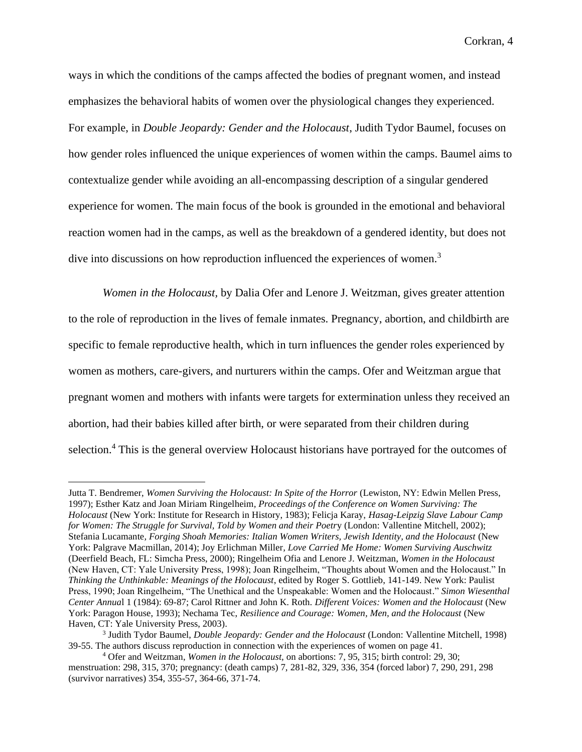ways in which the conditions of the camps affected the bodies of pregnant women, and instead emphasizes the behavioral habits of women over the physiological changes they experienced. For example, in *Double Jeopardy: Gender and the Holocaust*, Judith Tydor Baumel, focuses on how gender roles influenced the unique experiences of women within the camps. Baumel aims to contextualize gender while avoiding an all-encompassing description of a singular gendered experience for women. The main focus of the book is grounded in the emotional and behavioral reaction women had in the camps, as well as the breakdown of a gendered identity, but does not dive into discussions on how reproduction influenced the experiences of women.<sup>3</sup>

*Women in the Holocaust,* by Dalia Ofer and Lenore J. Weitzman, gives greater attention to the role of reproduction in the lives of female inmates. Pregnancy, abortion, and childbirth are specific to female reproductive health, which in turn influences the gender roles experienced by women as mothers, care-givers, and nurturers within the camps. Ofer and Weitzman argue that pregnant women and mothers with infants were targets for extermination unless they received an abortion, had their babies killed after birth, or were separated from their children during selection.<sup>4</sup> This is the general overview Holocaust historians have portrayed for the outcomes of

Jutta T. Bendremer, *Women Surviving the Holocaust: In Spite of the Horror* (Lewiston, NY: Edwin Mellen Press, 1997); Esther Katz and Joan Miriam Ringelheim*, Proceedings of the Conference on Women Surviving: The Holocaust* (New York: Institute for Research in History, 1983); Felicja Karay, *Hasag-Leipzig Slave Labour Camp for Women: The Struggle for Survival, Told by Women and their Poetr*y (London: Vallentine Mitchell, 2002); Stefania Lucamante*, Forging Shoah Memories: Italian Women Writers, Jewish Identity, and the Holocaust* (New York: Palgrave Macmillan, 2014); Joy Erlichman Miller*, Love Carried Me Home: Women Surviving Auschwitz* (Deerfield Beach, FL: Simcha Press, 2000); Ringelheim Ofia and Lenore J. Weitzman, *Women in the Holocaust* (New Haven, CT: Yale University Press, 1998); Joan Ringelheim, "Thoughts about Women and the Holocaust." In *Thinking the Unthinkable: Meanings of the Holocaust*, edited by Roger S. Gottlieb, 141-149. New York: Paulist Press, 1990; Joan Ringelheim, "The Unethical and the Unspeakable: Women and the Holocaust." *Simon Wiesenthal Center Annua*l 1 (1984): 69-87; Carol Rittner and John K. Roth. *Different Voices: Women and the Holocaust* (New York: Paragon House, 1993); Nechama Tec, *Resilience and Courage: Women, Men, and the Holocaust* (New Haven, CT: Yale University Press, 2003).

<sup>3</sup> Judith Tydor Baumel, *Double Jeopardy: Gender and the Holocaust* (London: Vallentine Mitchell, 1998) 39-55. The authors discuss reproduction in connection with the experiences of women on page 41.

<sup>4</sup> Ofer and Weitzman, *Women in the Holocaust,* on abortions: 7, 95, 315; birth control: 29, 30; menstruation: 298, 315, 370; pregnancy: (death camps) 7, 281-82, 329, 336, 354 (forced labor) 7, 290, 291, 298 (survivor narratives) 354, 355-57, 364-66, 371-74.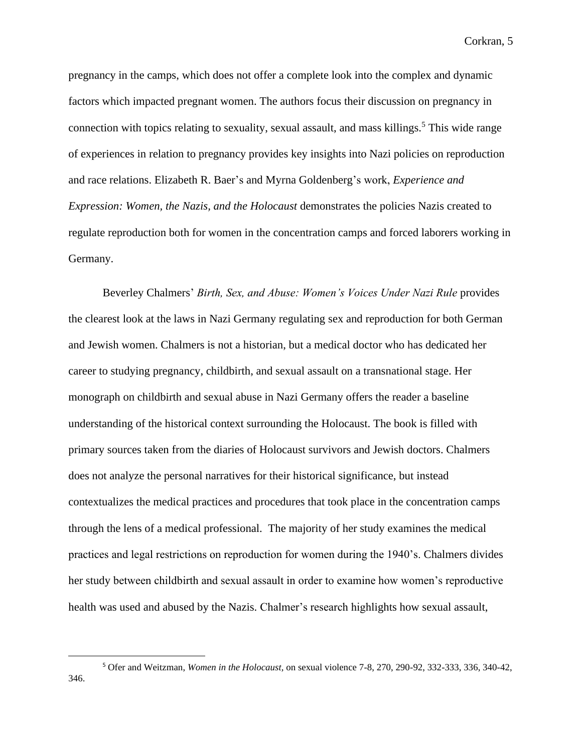pregnancy in the camps, which does not offer a complete look into the complex and dynamic factors which impacted pregnant women. The authors focus their discussion on pregnancy in connection with topics relating to sexuality, sexual assault, and mass killings.<sup>5</sup> This wide range of experiences in relation to pregnancy provides key insights into Nazi policies on reproduction and race relations. Elizabeth R. Baer's and Myrna Goldenberg's work, *Experience and Expression: Women, the Nazis, and the Holocaust* demonstrates the policies Nazis created to regulate reproduction both for women in the concentration camps and forced laborers working in Germany.

Beverley Chalmers' *Birth, Sex, and Abuse: Women's Voices Under Nazi Rule* provides the clearest look at the laws in Nazi Germany regulating sex and reproduction for both German and Jewish women. Chalmers is not a historian, but a medical doctor who has dedicated her career to studying pregnancy, childbirth, and sexual assault on a transnational stage. Her monograph on childbirth and sexual abuse in Nazi Germany offers the reader a baseline understanding of the historical context surrounding the Holocaust. The book is filled with primary sources taken from the diaries of Holocaust survivors and Jewish doctors. Chalmers does not analyze the personal narratives for their historical significance, but instead contextualizes the medical practices and procedures that took place in the concentration camps through the lens of a medical professional. The majority of her study examines the medical practices and legal restrictions on reproduction for women during the 1940's. Chalmers divides her study between childbirth and sexual assault in order to examine how women's reproductive health was used and abused by the Nazis. Chalmer's research highlights how sexual assault,

<sup>5</sup> Ofer and Weitzman, *Women in the Holocaust,* on sexual violence 7-8, 270, 290-92, 332-333, 336, 340-42, 346.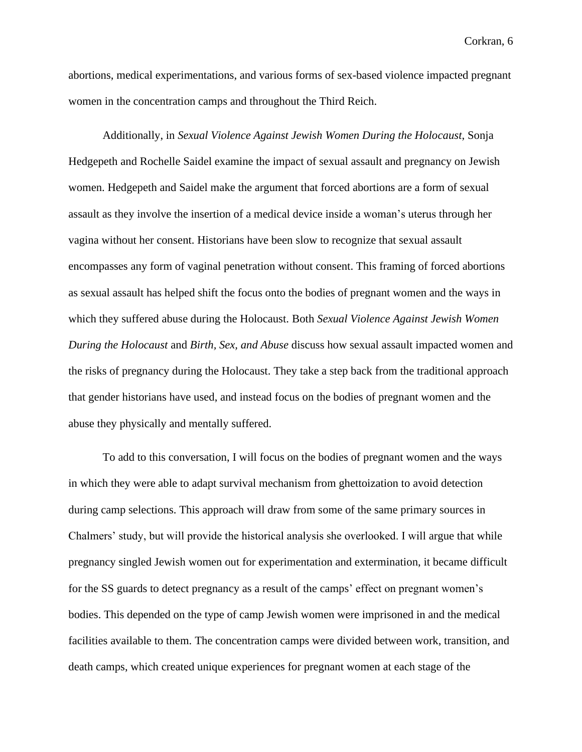abortions, medical experimentations, and various forms of sex-based violence impacted pregnant women in the concentration camps and throughout the Third Reich.

Additionally, in *Sexual Violence Against Jewish Women During the Holocaust*, Sonja Hedgepeth and Rochelle Saidel examine the impact of sexual assault and pregnancy on Jewish women. Hedgepeth and Saidel make the argument that forced abortions are a form of sexual assault as they involve the insertion of a medical device inside a woman's uterus through her vagina without her consent. Historians have been slow to recognize that sexual assault encompasses any form of vaginal penetration without consent. This framing of forced abortions as sexual assault has helped shift the focus onto the bodies of pregnant women and the ways in which they suffered abuse during the Holocaust. Both *Sexual Violence Against Jewish Women During the Holocaust* and *Birth, Sex, and Abuse* discuss how sexual assault impacted women and the risks of pregnancy during the Holocaust. They take a step back from the traditional approach that gender historians have used, and instead focus on the bodies of pregnant women and the abuse they physically and mentally suffered.

To add to this conversation, I will focus on the bodies of pregnant women and the ways in which they were able to adapt survival mechanism from ghettoization to avoid detection during camp selections. This approach will draw from some of the same primary sources in Chalmers' study, but will provide the historical analysis she overlooked. I will argue that while pregnancy singled Jewish women out for experimentation and extermination, it became difficult for the SS guards to detect pregnancy as a result of the camps' effect on pregnant women's bodies. This depended on the type of camp Jewish women were imprisoned in and the medical facilities available to them. The concentration camps were divided between work, transition, and death camps, which created unique experiences for pregnant women at each stage of the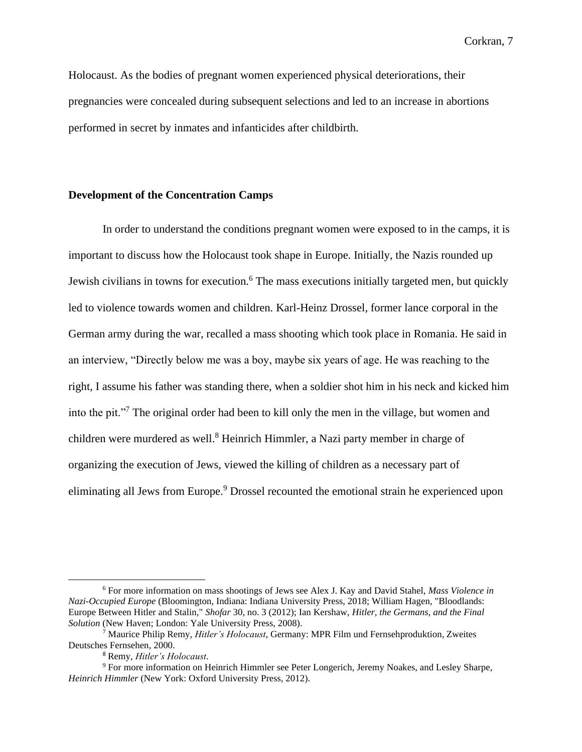Holocaust. As the bodies of pregnant women experienced physical deteriorations, their pregnancies were concealed during subsequent selections and led to an increase in abortions performed in secret by inmates and infanticides after childbirth.

#### **Development of the Concentration Camps**

In order to understand the conditions pregnant women were exposed to in the camps, it is important to discuss how the Holocaust took shape in Europe. Initially, the Nazis rounded up Jewish civilians in towns for execution.<sup>6</sup> The mass executions initially targeted men, but quickly led to violence towards women and children. Karl-Heinz Drossel, former lance corporal in the German army during the war, recalled a mass shooting which took place in Romania. He said in an interview, "Directly below me was a boy, maybe six years of age. He was reaching to the right, I assume his father was standing there, when a soldier shot him in his neck and kicked him into the pit."<sup>7</sup> The original order had been to kill only the men in the village, but women and children were murdered as well.<sup>8</sup> Heinrich Himmler, a Nazi party member in charge of organizing the execution of Jews, viewed the killing of children as a necessary part of eliminating all Jews from Europe.<sup>9</sup> Drossel recounted the emotional strain he experienced upon

<sup>6</sup> For more information on mass shootings of Jews see Alex J. Kay and David Stahel, *Mass Violence in Nazi-Occupied Europe* (Bloomington, Indiana: Indiana University Press, 2018; William Hagen, "Bloodlands: Europe Between Hitler and Stalin," *Shofar* 30, no. 3 (2012); Ian Kershaw, *Hitler, the Germans, and the Final Solution* (New Haven; London: Yale University Press, 2008).

<sup>7</sup> Maurice Philip Remy, *Hitler's Holocaust*, Germany: MPR Film und Fernsehproduktion, Zweites Deutsches Fernsehen, 2000.

<sup>8</sup> Remy, *Hitler's Holocaust*.

<sup>9</sup> For more information on Heinrich Himmler see Peter Longerich, Jeremy Noakes, and Lesley Sharpe, *Heinrich Himmler* (New York: Oxford University Press, 2012).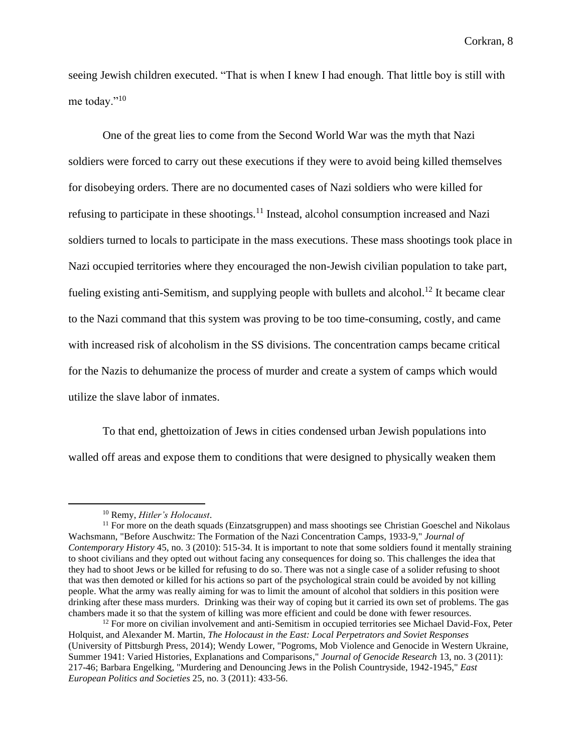seeing Jewish children executed. "That is when I knew I had enough. That little boy is still with me today."<sup>10</sup>

One of the great lies to come from the Second World War was the myth that Nazi soldiers were forced to carry out these executions if they were to avoid being killed themselves for disobeying orders. There are no documented cases of Nazi soldiers who were killed for refusing to participate in these shootings.<sup>11</sup> Instead, alcohol consumption increased and Nazi soldiers turned to locals to participate in the mass executions. These mass shootings took place in Nazi occupied territories where they encouraged the non-Jewish civilian population to take part, fueling existing anti-Semitism, and supplying people with bullets and alcohol.<sup>12</sup> It became clear to the Nazi command that this system was proving to be too time-consuming, costly, and came with increased risk of alcoholism in the SS divisions. The concentration camps became critical for the Nazis to dehumanize the process of murder and create a system of camps which would utilize the slave labor of inmates.

To that end, ghettoization of Jews in cities condensed urban Jewish populations into walled off areas and expose them to conditions that were designed to physically weaken them

<sup>10</sup> Remy, *Hitler's Holocaust*.

 $11$  For more on the death squads (Einzatsgruppen) and mass shootings see Christian Goeschel and Nikolaus Wachsmann, "Before Auschwitz: The Formation of the Nazi Concentration Camps, 1933-9," *Journal of Contemporary History* 45, no. 3 (2010): 515-34. It is important to note that some soldiers found it mentally straining to shoot civilians and they opted out without facing any consequences for doing so. This challenges the idea that they had to shoot Jews or be killed for refusing to do so. There was not a single case of a solider refusing to shoot that was then demoted or killed for his actions so part of the psychological strain could be avoided by not killing people. What the army was really aiming for was to limit the amount of alcohol that soldiers in this position were drinking after these mass murders. Drinking was their way of coping but it carried its own set of problems. The gas chambers made it so that the system of killing was more efficient and could be done with fewer resources.

 $12$  For more on civilian involvement and anti-Semitism in occupied territories see Michael David-Fox, Peter Holquist, and Alexander M. Martin, *The Holocaust in the East: Local Perpetrators and Soviet Responses* (University of Pittsburgh Press, 2014); Wendy Lower, "Pogroms, Mob Violence and Genocide in Western Ukraine, Summer 1941: Varied Histories, Explanations and Comparisons," *Journal of Genocide Research* 13, no. 3 (2011): 217-46; Barbara Engelking, "Murdering and Denouncing Jews in the Polish Countryside, 1942-1945," *East European Politics and Societies* 25, no. 3 (2011): 433-56.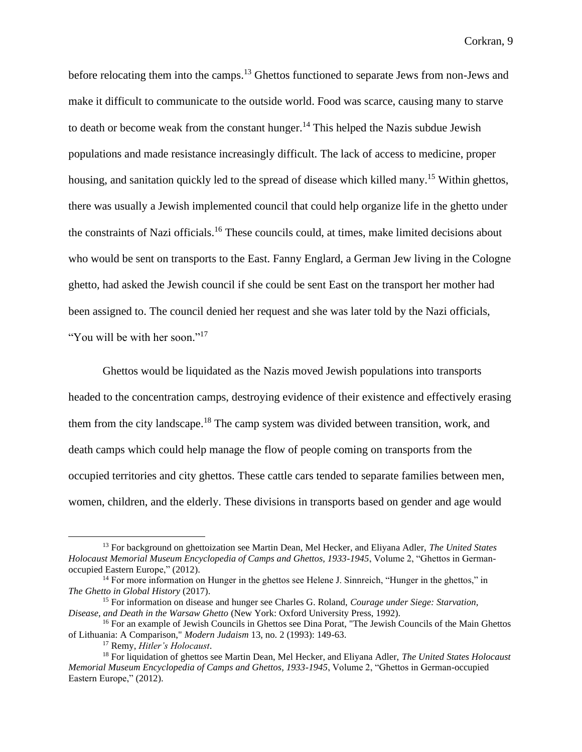before relocating them into the camps.<sup>13</sup> Ghettos functioned to separate Jews from non-Jews and make it difficult to communicate to the outside world. Food was scarce, causing many to starve to death or become weak from the constant hunger.<sup>14</sup> This helped the Nazis subdue Jewish populations and made resistance increasingly difficult. The lack of access to medicine, proper housing, and sanitation quickly led to the spread of disease which killed many.<sup>15</sup> Within ghettos, there was usually a Jewish implemented council that could help organize life in the ghetto under the constraints of Nazi officials.<sup>16</sup> These councils could, at times, make limited decisions about who would be sent on transports to the East. Fanny Englard, a German Jew living in the Cologne ghetto, had asked the Jewish council if she could be sent East on the transport her mother had been assigned to. The council denied her request and she was later told by the Nazi officials, "You will be with her soon."<sup>17</sup>

Ghettos would be liquidated as the Nazis moved Jewish populations into transports headed to the concentration camps, destroying evidence of their existence and effectively erasing them from the city landscape.<sup>18</sup> The camp system was divided between transition, work, and death camps which could help manage the flow of people coming on transports from the occupied territories and city ghettos. These cattle cars tended to separate families between men, women, children, and the elderly. These divisions in transports based on gender and age would

<sup>13</sup> For background on ghettoization see Martin Dean, Mel Hecker, and Eliyana Adler, *The United States Holocaust Memorial Museum Encyclopedia of Camps and Ghettos, 1933-1945*, Volume 2, "Ghettos in Germanoccupied Eastern Europe," (2012).

<sup>&</sup>lt;sup>14</sup> For more information on Hunger in the ghettos see Helene J. Sinnreich, "Hunger in the ghettos," in *The Ghetto in Global History* (2017).

<sup>15</sup> For information on disease and hunger see Charles G. Roland, *Courage under Siege: Starvation, Disease, and Death in the Warsaw Ghetto* (New York: Oxford University Press, 1992).

<sup>&</sup>lt;sup>16</sup> For an example of Jewish Councils in Ghettos see Dina Porat, "The Jewish Councils of the Main Ghettos of Lithuania: A Comparison," *Modern Judaism* 13, no. 2 (1993): 149-63.

<sup>17</sup> Remy, *Hitler's Holocaust*.

<sup>18</sup> For liquidation of ghettos see Martin Dean, Mel Hecker, and Eliyana Adler, *The United States Holocaust Memorial Museum Encyclopedia of Camps and Ghettos, 1933-1945*, Volume 2, "Ghettos in German-occupied Eastern Europe," (2012).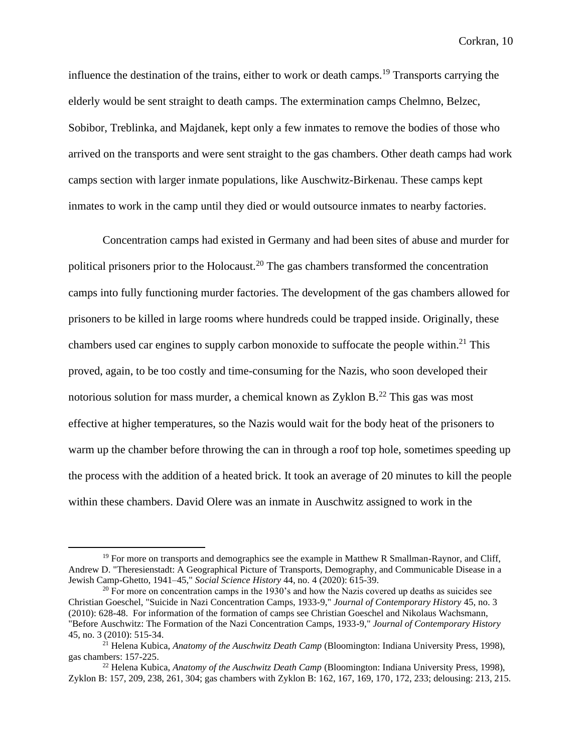influence the destination of the trains, either to work or death camps.<sup>19</sup> Transports carrying the elderly would be sent straight to death camps. The extermination camps Chelmno, Belzec, Sobibor, Treblinka, and Majdanek, kept only a few inmates to remove the bodies of those who arrived on the transports and were sent straight to the gas chambers. Other death camps had work camps section with larger inmate populations, like Auschwitz-Birkenau. These camps kept inmates to work in the camp until they died or would outsource inmates to nearby factories.

Concentration camps had existed in Germany and had been sites of abuse and murder for political prisoners prior to the Holocaust.<sup>20</sup> The gas chambers transformed the concentration camps into fully functioning murder factories. The development of the gas chambers allowed for prisoners to be killed in large rooms where hundreds could be trapped inside. Originally, these chambers used car engines to supply carbon monoxide to suffocate the people within.<sup>21</sup> This proved, again, to be too costly and time-consuming for the Nazis, who soon developed their notorious solution for mass murder, a chemical known as Zyklon  $B<sup>22</sup>$ . This gas was most effective at higher temperatures, so the Nazis would wait for the body heat of the prisoners to warm up the chamber before throwing the can in through a roof top hole, sometimes speeding up the process with the addition of a heated brick. It took an average of 20 minutes to kill the people within these chambers. David Olere was an inmate in Auschwitz assigned to work in the

 $19$  For more on transports and demographics see the example in Matthew R Smallman-Raynor, and Cliff, Andrew D. "Theresienstadt: A Geographical Picture of Transports, Demography, and Communicable Disease in a Jewish Camp-Ghetto, 1941–45," *Social Science History* 44, no. 4 (2020): 615-39.

 $20$  For more on concentration camps in the 1930's and how the Nazis covered up deaths as suicides see Christian Goeschel, "Suicide in Nazi Concentration Camps, 1933-9," *Journal of Contemporary History* 45, no. 3 (2010): 628-48. For information of the formation of camps see Christian Goeschel and Nikolaus Wachsmann, "Before Auschwitz: The Formation of the Nazi Concentration Camps, 1933-9," *Journal of Contemporary History* 45, no. 3 (2010): 515-34.

<sup>21</sup> Helena Kubica, *Anatomy of the Auschwitz Death Camp* (Bloomington: Indiana University Press, 1998), gas chambers: 157-225.

<sup>22</sup> Helena Kubica, *Anatomy of the Auschwitz Death Camp* (Bloomington: Indiana University Press, 1998), Zyklon B: 157, 209, 238, 261, 304; gas chambers with Zyklon B: 162, 167, 169, 170, 172, 233; delousing: 213, 215.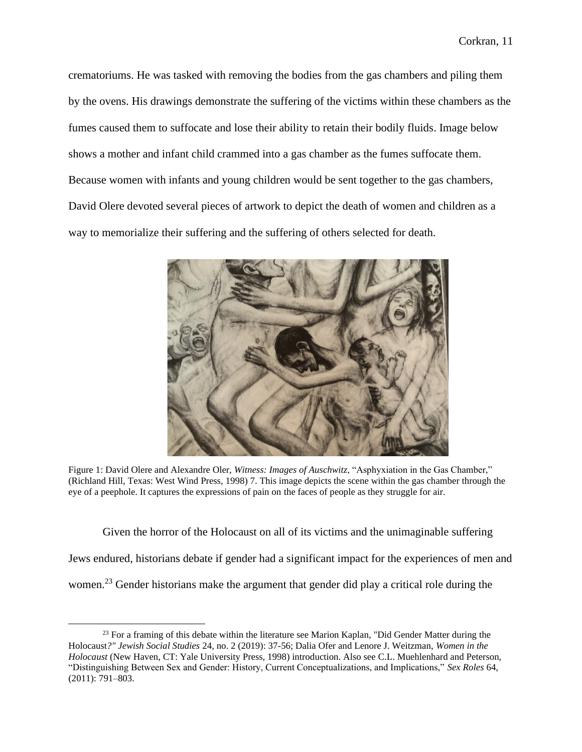crematoriums. He was tasked with removing the bodies from the gas chambers and piling them by the ovens. His drawings demonstrate the suffering of the victims within these chambers as the fumes caused them to suffocate and lose their ability to retain their bodily fluids. Image below shows a mother and infant child crammed into a gas chamber as the fumes suffocate them. Because women with infants and young children would be sent together to the gas chambers, David Olere devoted several pieces of artwork to depict the death of women and children as a way to memorialize their suffering and the suffering of others selected for death.



Figure 1: David Olere and Alexandre Oler, *Witness: Images of Auschwitz*, "Asphyxiation in the Gas Chamber," (Richland Hill, Texas: West Wind Press, 1998) 7. This image depicts the scene within the gas chamber through the eye of a peephole. It captures the expressions of pain on the faces of people as they struggle for air.

Given the horror of the Holocaust on all of its victims and the unimaginable suffering Jews endured, historians debate if gender had a significant impact for the experiences of men and women.<sup>23</sup> Gender historians make the argument that gender did play a critical role during the

<sup>&</sup>lt;sup>23</sup> For a framing of this debate within the literature see Marion Kaplan, "Did Gender Matter during the Holocaust*?" Jewish Social Studies* 24, no. 2 (2019): 37-56; Dalia Ofer and Lenore J. Weitzman, *Women in the Holocaust* (New Haven, CT: Yale University Press, 1998) introduction. Also see C.L. Muehlenhard and Peterson, "Distinguishing Between Sex and Gender: History, Current Conceptualizations, and Implications," *Sex Roles* 64, (2011): 791–803.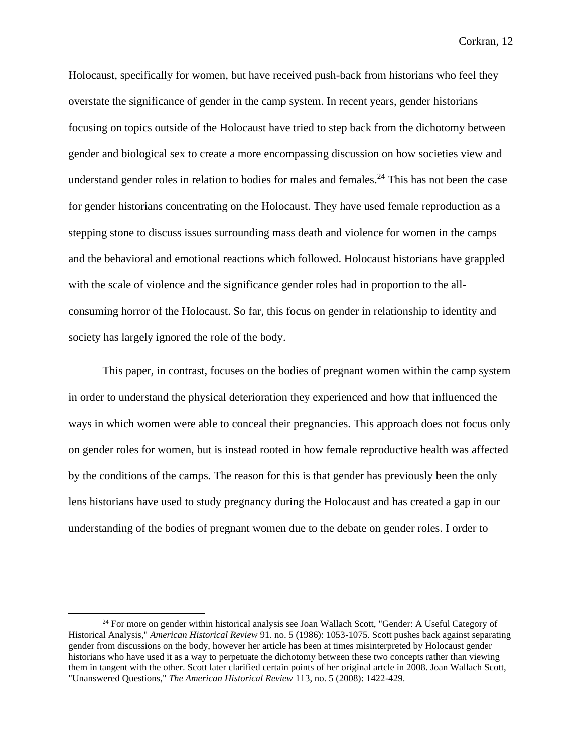Holocaust, specifically for women, but have received push-back from historians who feel they overstate the significance of gender in the camp system. In recent years, gender historians focusing on topics outside of the Holocaust have tried to step back from the dichotomy between gender and biological sex to create a more encompassing discussion on how societies view and understand gender roles in relation to bodies for males and females.<sup>24</sup> This has not been the case for gender historians concentrating on the Holocaust. They have used female reproduction as a stepping stone to discuss issues surrounding mass death and violence for women in the camps and the behavioral and emotional reactions which followed. Holocaust historians have grappled with the scale of violence and the significance gender roles had in proportion to the allconsuming horror of the Holocaust. So far, this focus on gender in relationship to identity and society has largely ignored the role of the body.

This paper, in contrast, focuses on the bodies of pregnant women within the camp system in order to understand the physical deterioration they experienced and how that influenced the ways in which women were able to conceal their pregnancies. This approach does not focus only on gender roles for women, but is instead rooted in how female reproductive health was affected by the conditions of the camps. The reason for this is that gender has previously been the only lens historians have used to study pregnancy during the Holocaust and has created a gap in our understanding of the bodies of pregnant women due to the debate on gender roles. I order to

<sup>&</sup>lt;sup>24</sup> For more on gender within historical analysis see Joan Wallach Scott, "Gender: A Useful Category of Historical Analysis," *American Historical Review* 91. no. 5 (1986): 1053-1075. Scott pushes back against separating gender from discussions on the body, however her article has been at times misinterpreted by Holocaust gender historians who have used it as a way to perpetuate the dichotomy between these two concepts rather than viewing them in tangent with the other. Scott later clarified certain points of her original artcle in 2008. Joan Wallach Scott, "Unanswered Questions," *The American Historical Review* 113, no. 5 (2008): 1422-429.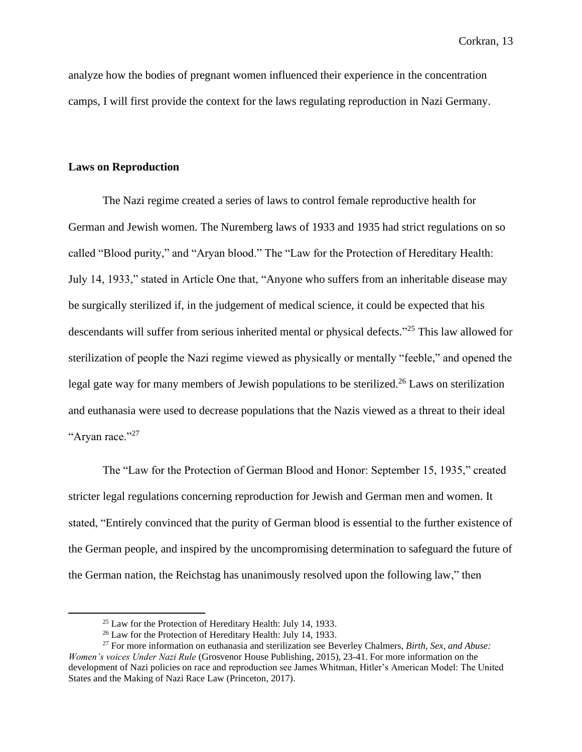analyze how the bodies of pregnant women influenced their experience in the concentration camps, I will first provide the context for the laws regulating reproduction in Nazi Germany.

#### **Laws on Reproduction**

The Nazi regime created a series of laws to control female reproductive health for German and Jewish women. The Nuremberg laws of 1933 and 1935 had strict regulations on so called "Blood purity," and "Aryan blood." The "Law for the Protection of Hereditary Health: July 14, 1933," stated in Article One that, "Anyone who suffers from an inheritable disease may be surgically sterilized if, in the judgement of medical science, it could be expected that his descendants will suffer from serious inherited mental or physical defects." <sup>25</sup> This law allowed for sterilization of people the Nazi regime viewed as physically or mentally "feeble," and opened the legal gate way for many members of Jewish populations to be sterilized.<sup>26</sup> Laws on sterilization and euthanasia were used to decrease populations that the Nazis viewed as a threat to their ideal "Aryan race."<sup>27</sup>

The "Law for the Protection of German Blood and Honor: September 15, 1935," created stricter legal regulations concerning reproduction for Jewish and German men and women. It stated, "Entirely convinced that the purity of German blood is essential to the further existence of the German people, and inspired by the uncompromising determination to safeguard the future of the German nation, the Reichstag has unanimously resolved upon the following law," then

 $25$  Law for the Protection of Hereditary Health: July 14, 1933.

<sup>26</sup> Law for the Protection of Hereditary Health: July 14, 1933.

<sup>27</sup> For more information on euthanasia and sterilization see Beverley Chalmers, *Birth, Sex, and Abuse: Women's voices Under Nazi Rule* (Grosvenor House Publishing, 2015), 23-41. For more information on the development of Nazi policies on race and reproduction see James Whitman, Hitler's American Model: The United States and the Making of Nazi Race Law (Princeton, 2017).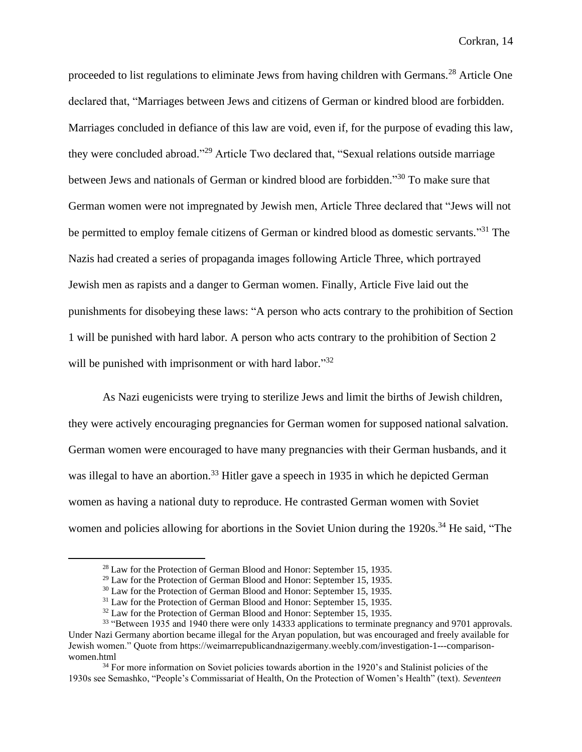proceeded to list regulations to eliminate Jews from having children with Germans.<sup>28</sup> Article One declared that, "Marriages between Jews and citizens of German or kindred blood are forbidden. Marriages concluded in defiance of this law are void, even if, for the purpose of evading this law, they were concluded abroad."<sup>29</sup> Article Two declared that, "Sexual relations outside marriage between Jews and nationals of German or kindred blood are forbidden."<sup>30</sup> To make sure that German women were not impregnated by Jewish men, Article Three declared that "Jews will not be permitted to employ female citizens of German or kindred blood as domestic servants."<sup>31</sup> The Nazis had created a series of propaganda images following Article Three, which portrayed Jewish men as rapists and a danger to German women. Finally, Article Five laid out the punishments for disobeying these laws: "A person who acts contrary to the prohibition of Section 1 will be punished with hard labor. A person who acts contrary to the prohibition of Section 2 will be punished with imprisonment or with hard labor."32

As Nazi eugenicists were trying to sterilize Jews and limit the births of Jewish children, they were actively encouraging pregnancies for German women for supposed national salvation. German women were encouraged to have many pregnancies with their German husbands, and it was illegal to have an abortion.<sup>33</sup> Hitler gave a speech in 1935 in which he depicted German women as having a national duty to reproduce. He contrasted German women with Soviet women and policies allowing for abortions in the Soviet Union during the 1920s.<sup>34</sup> He said, "The

<sup>&</sup>lt;sup>28</sup> Law for the Protection of German Blood and Honor: September 15, 1935.

 $29$  Law for the Protection of German Blood and Honor: September 15, 1935.

<sup>&</sup>lt;sup>30</sup> Law for the Protection of German Blood and Honor: September 15, 1935.

<sup>&</sup>lt;sup>31</sup> Law for the Protection of German Blood and Honor: September 15, 1935.

 $32$  Law for the Protection of German Blood and Honor: September 15, 1935.

<sup>&</sup>lt;sup>33</sup> "Between 1935 and 1940 there were only 14333 applications to terminate pregnancy and 9701 approvals. Under Nazi Germany abortion became illegal for the Aryan population, but was encouraged and freely available for Jewish women." Quote from https://weimarrepublicandnazigermany.weebly.com/investigation-1---comparisonwomen.html

<sup>&</sup>lt;sup>34</sup> For more information on Soviet policies towards abortion in the 1920's and Stalinist policies of the 1930s see Semashko, "People's Commissariat of Health, On the Protection of Women's Health" (text). *Seventeen*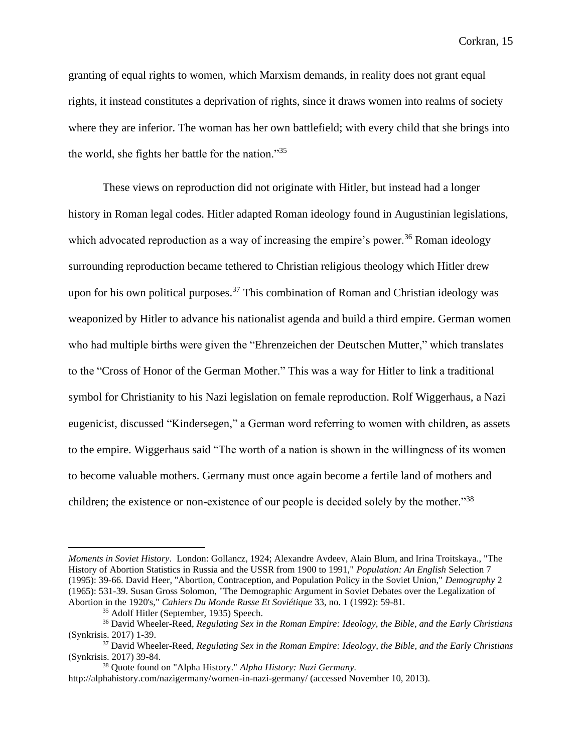granting of equal rights to women, which Marxism demands, in reality does not grant equal rights, it instead constitutes a deprivation of rights, since it draws women into realms of society where they are inferior. The woman has her own battlefield; with every child that she brings into the world, she fights her battle for the nation."<sup>35</sup>

These views on reproduction did not originate with Hitler, but instead had a longer history in Roman legal codes. Hitler adapted Roman ideology found in Augustinian legislations, which advocated reproduction as a way of increasing the empire's power.<sup>36</sup> Roman ideology surrounding reproduction became tethered to Christian religious theology which Hitler drew upon for his own political purposes.<sup>37</sup> This combination of Roman and Christian ideology was weaponized by Hitler to advance his nationalist agenda and build a third empire. German women who had multiple births were given the "Ehrenzeichen der Deutschen Mutter," which translates to the "Cross of Honor of the German Mother." This was a way for Hitler to link a traditional symbol for Christianity to his Nazi legislation on female reproduction. Rolf Wiggerhaus, a Nazi eugenicist, discussed "Kindersegen," a German word referring to women with children, as assets to the empire. Wiggerhaus said "The worth of a nation is shown in the willingness of its women to become valuable mothers. Germany must once again become a fertile land of mothers and children; the existence or non-existence of our people is decided solely by the mother."<sup>38</sup>

*Moments in Soviet History*. London: Gollancz, 1924; Alexandre Avdeev, Alain Blum, and Irina Troitskaya., "The History of Abortion Statistics in Russia and the USSR from 1900 to 1991," *Population: An English* Selection 7 (1995): 39-66. David Heer, "Abortion, Contraception, and Population Policy in the Soviet Union," *Demography* 2 (1965): 531-39. Susan Gross Solomon, "The Demographic Argument in Soviet Debates over the Legalization of Abortion in the 1920's," *Cahiers Du Monde Russe Et Soviétique* 33, no. 1 (1992): 59-81.

<sup>35</sup> Adolf Hitler (September, 1935) Speech.

<sup>36</sup> David Wheeler-Reed, *Regulating Sex in the Roman Empire: Ideology, the Bible, and the Early Christians* (Synkrisis. 2017) 1-39.

<sup>37</sup> David Wheeler-Reed, *Regulating Sex in the Roman Empire: Ideology, the Bible, and the Early Christians* (Synkrisis. 2017) 39-84.

<sup>38</sup> Quote found on "Alpha History." *Alpha History: Nazi Germany.* 

http://alphahistory.com/nazigermany/women-in-nazi-germany/ (accessed November 10, 2013).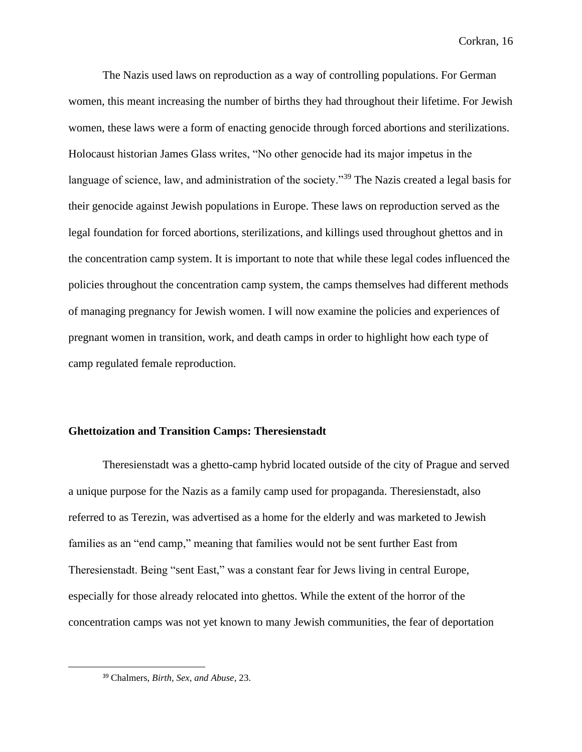The Nazis used laws on reproduction as a way of controlling populations. For German women, this meant increasing the number of births they had throughout their lifetime. For Jewish women, these laws were a form of enacting genocide through forced abortions and sterilizations. Holocaust historian James Glass writes, "No other genocide had its major impetus in the language of science, law, and administration of the society."<sup>39</sup> The Nazis created a legal basis for their genocide against Jewish populations in Europe. These laws on reproduction served as the legal foundation for forced abortions, sterilizations, and killings used throughout ghettos and in the concentration camp system. It is important to note that while these legal codes influenced the policies throughout the concentration camp system, the camps themselves had different methods of managing pregnancy for Jewish women. I will now examine the policies and experiences of pregnant women in transition, work, and death camps in order to highlight how each type of camp regulated female reproduction.

# **Ghettoization and Transition Camps: Theresienstadt**

Theresienstadt was a ghetto-camp hybrid located outside of the city of Prague and served a unique purpose for the Nazis as a family camp used for propaganda. Theresienstadt, also referred to as Terezin, was advertised as a home for the elderly and was marketed to Jewish families as an "end camp," meaning that families would not be sent further East from Theresienstadt. Being "sent East," was a constant fear for Jews living in central Europe, especially for those already relocated into ghettos. While the extent of the horror of the concentration camps was not yet known to many Jewish communities, the fear of deportation

<sup>39</sup> Chalmers, *Birth, Sex, and Abuse*, 23.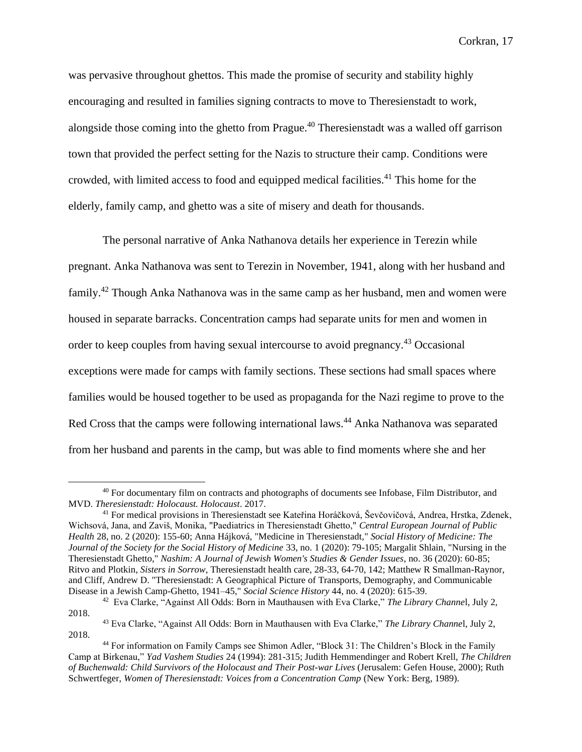was pervasive throughout ghettos. This made the promise of security and stability highly encouraging and resulted in families signing contracts to move to Theresienstadt to work, alongside those coming into the ghetto from Prague.<sup>40</sup> Theresienstadt was a walled off garrison town that provided the perfect setting for the Nazis to structure their camp. Conditions were crowded, with limited access to food and equipped medical facilities.<sup>41</sup> This home for the elderly, family camp, and ghetto was a site of misery and death for thousands.

The personal narrative of Anka Nathanova details her experience in Terezin while pregnant. Anka Nathanova was sent to Terezin in November, 1941, along with her husband and family.<sup>42</sup> Though Anka Nathanova was in the same camp as her husband, men and women were housed in separate barracks. Concentration camps had separate units for men and women in order to keep couples from having sexual intercourse to avoid pregnancy.<sup>43</sup> Occasional exceptions were made for camps with family sections. These sections had small spaces where families would be housed together to be used as propaganda for the Nazi regime to prove to the Red Cross that the camps were following international laws.<sup>44</sup> Anka Nathanova was separated from her husband and parents in the camp, but was able to find moments where she and her

<sup>40</sup> For documentary film on contracts and photographs of documents see Infobase, Film Distributor, and MVD. *Theresienstadt: Holocaust. Holocaust*. 2017.

<sup>41</sup> For medical provisions in Theresienstadt see Kateřina Horáčková, Ševčovičová, Andrea, Hrstka, Zdenek, Wichsová, Jana, and Zaviš, Monika, "Paediatrics in Theresienstadt Ghetto," *Central European Journal of Public Health* 28, no. 2 (2020): 155-60; Anna Hájková, "Medicine in Theresienstadt," *Social History of Medicine: The Journal of the Society for the Social History of Medicine* 33, no. 1 (2020): 79-105; Margalit Shlain, "Nursing in the Theresienstadt Ghetto," *Nashim: A Journal of Jewish Women's Studies & Gender Issues*, no. 36 (2020): 60-85; Ritvo and Plotkin, *Sisters in Sorrow,* Theresienstadt health care, 28-33, 64-70, 142; Matthew R Smallman-Raynor, and Cliff, Andrew D. "Theresienstadt: A Geographical Picture of Transports, Demography, and Communicable Disease in a Jewish Camp-Ghetto, 1941–45," *Social Science History* 44, no. 4 (2020): 615-39.

<sup>42</sup> Eva Clarke, "Against All Odds: Born in Mauthausen with Eva Clarke," *The Library Channe*l, July 2, 2018.

<sup>43</sup> Eva Clarke, "Against All Odds: Born in Mauthausen with Eva Clarke," *The Library Channe*l, July 2, 2018.

<sup>44</sup> For information on Family Camps see Shimon Adler, "Block 31: The Children's Block in the Family Camp at Birkenau," *Yad Vashem Studies* 24 (1994): 281-315; Judith Hemmendinger and Robert Krell, *The Children of Buchenwald: Child Survivors of the Holocaust and Their Post-war Lives* (Jerusalem: Gefen House, 2000); Ruth Schwertfeger, *Women of Theresienstadt: Voices from a Concentration Camp* (New York: Berg, 1989).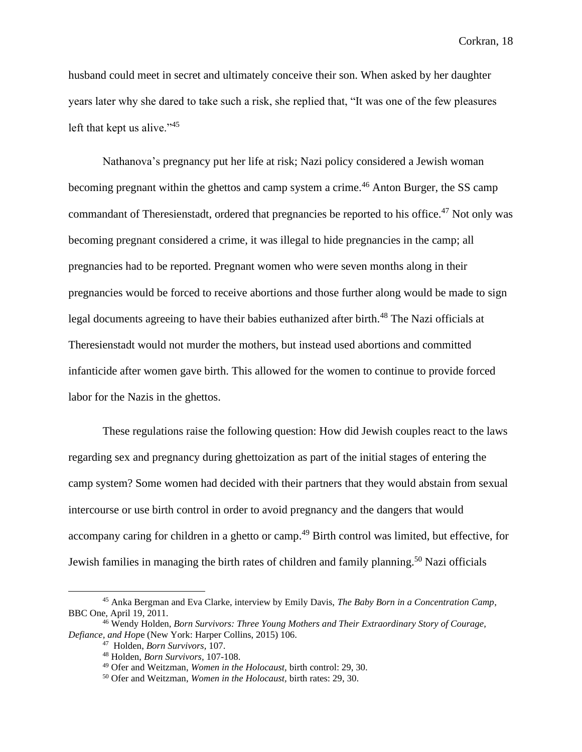husband could meet in secret and ultimately conceive their son. When asked by her daughter years later why she dared to take such a risk, she replied that, "It was one of the few pleasures left that kept us alive."<sup>45</sup>

Nathanova's pregnancy put her life at risk; Nazi policy considered a Jewish woman becoming pregnant within the ghettos and camp system a crime.<sup>46</sup> Anton Burger, the SS camp commandant of Theresienstadt, ordered that pregnancies be reported to his office.<sup>47</sup> Not only was becoming pregnant considered a crime, it was illegal to hide pregnancies in the camp; all pregnancies had to be reported. Pregnant women who were seven months along in their pregnancies would be forced to receive abortions and those further along would be made to sign legal documents agreeing to have their babies euthanized after birth.<sup>48</sup> The Nazi officials at Theresienstadt would not murder the mothers, but instead used abortions and committed infanticide after women gave birth. This allowed for the women to continue to provide forced labor for the Nazis in the ghettos.

These regulations raise the following question: How did Jewish couples react to the laws regarding sex and pregnancy during ghettoization as part of the initial stages of entering the camp system? Some women had decided with their partners that they would abstain from sexual intercourse or use birth control in order to avoid pregnancy and the dangers that would accompany caring for children in a ghetto or camp.<sup>49</sup> Birth control was limited, but effective, for Jewish families in managing the birth rates of children and family planning.<sup>50</sup> Nazi officials

<sup>45</sup> Anka Bergman and Eva Clarke, interview by Emily Davis, *The Baby Born in a Concentration Camp*, BBC One, April 19, 2011.

<sup>46</sup> Wendy Holden, *Born Survivors: Three Young Mothers and Their Extraordinary Story of Courage, Defiance, and Hop*e (New York: Harper Collins, 2015) 106.

<sup>47</sup> Holden, *Born Survivors,* 107.

<sup>48</sup> Holden, *Born Survivors,* 107-108.

<sup>49</sup> Ofer and Weitzman, *Women in the Holocaust,* birth control: 29, 30.

<sup>50</sup> Ofer and Weitzman, *Women in the Holocaust,* birth rates: 29, 30.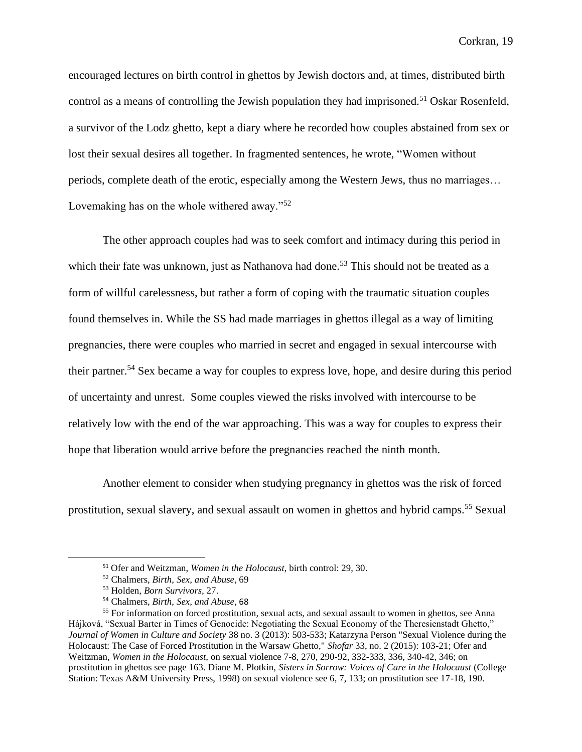encouraged lectures on birth control in ghettos by Jewish doctors and, at times, distributed birth control as a means of controlling the Jewish population they had imprisoned.<sup>51</sup> Oskar Rosenfeld, a survivor of the Lodz ghetto, kept a diary where he recorded how couples abstained from sex or lost their sexual desires all together. In fragmented sentences, he wrote, "Women without periods, complete death of the erotic, especially among the Western Jews, thus no marriages… Lovemaking has on the whole withered away."<sup>52</sup>

The other approach couples had was to seek comfort and intimacy during this period in which their fate was unknown, just as Nathanova had done.<sup>53</sup> This should not be treated as a form of willful carelessness, but rather a form of coping with the traumatic situation couples found themselves in. While the SS had made marriages in ghettos illegal as a way of limiting pregnancies, there were couples who married in secret and engaged in sexual intercourse with their partner.<sup>54</sup> Sex became a way for couples to express love, hope, and desire during this period of uncertainty and unrest. Some couples viewed the risks involved with intercourse to be relatively low with the end of the war approaching. This was a way for couples to express their hope that liberation would arrive before the pregnancies reached the ninth month.

Another element to consider when studying pregnancy in ghettos was the risk of forced prostitution, sexual slavery, and sexual assault on women in ghettos and hybrid camps.<sup>55</sup> Sexual

<sup>51</sup> Ofer and Weitzman, *Women in the Holocaust,* birth control: 29, 30.

<sup>52</sup> Chalmers, *Birth, Sex, and Abuse*, 69

<sup>53</sup> Holden, *Born Survivors,* 27.

<sup>54</sup> Chalmers, *Birth, Sex, and Abuse*, 68

<sup>&</sup>lt;sup>55</sup> For information on forced prostitution, sexual acts, and sexual assault to women in ghettos, see Anna Hájková, "Sexual Barter in Times of Genocide: Negotiating the Sexual Economy of the Theresienstadt Ghetto," *Journal of Women in Culture and Society* 38 no. 3 (2013): 503-533; Katarzyna Person "Sexual Violence during the Holocaust: The Case of Forced Prostitution in the Warsaw Ghetto," *Shofar* 33, no. 2 (2015): 103-21; Ofer and Weitzman, *Women in the Holocaust,* on sexual violence 7-8, 270, 290-92, 332-333, 336, 340-42, 346; on prostitution in ghettos see page 163. Diane M. Plotkin, *Sisters in Sorrow: Voices of Care in the Holocaust* (College Station: Texas A&M University Press, 1998) on sexual violence see 6, 7, 133; on prostitution see 17-18, 190.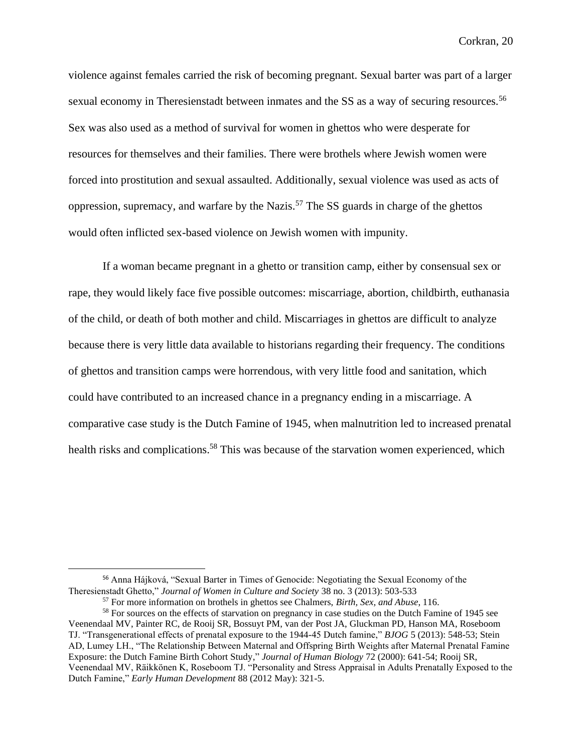violence against females carried the risk of becoming pregnant. Sexual barter was part of a larger sexual economy in Theresienstadt between inmates and the SS as a way of securing resources.<sup>56</sup> Sex was also used as a method of survival for women in ghettos who were desperate for resources for themselves and their families. There were brothels where Jewish women were forced into prostitution and sexual assaulted. Additionally, sexual violence was used as acts of oppression, supremacy, and warfare by the Nazis.<sup>57</sup> The SS guards in charge of the ghettos would often inflicted sex-based violence on Jewish women with impunity.

If a woman became pregnant in a ghetto or transition camp, either by consensual sex or rape, they would likely face five possible outcomes: miscarriage, abortion, childbirth, euthanasia of the child, or death of both mother and child. Miscarriages in ghettos are difficult to analyze because there is very little data available to historians regarding their frequency. The conditions of ghettos and transition camps were horrendous, with very little food and sanitation, which could have contributed to an increased chance in a pregnancy ending in a miscarriage. A comparative case study is the Dutch Famine of 1945, when malnutrition led to increased prenatal health risks and complications.<sup>58</sup> This was because of the starvation women experienced, which

<sup>56</sup> Anna Hájková, "Sexual Barter in Times of Genocide: Negotiating the Sexual Economy of the Theresienstadt Ghetto," *Journal of Women in Culture and Society* 38 no. 3 (2013): 503-533

<sup>57</sup> For more information on brothels in ghettos see Chalmers, *Birth, Sex, and Abuse*, 116.

<sup>&</sup>lt;sup>58</sup> For sources on the effects of starvation on pregnancy in case studies on the Dutch Famine of 1945 see Veenendaal MV, Painter RC, de Rooij SR, Bossuyt PM, van der Post JA, Gluckman PD, Hanson MA, Roseboom TJ. "Transgenerational effects of prenatal exposure to the 1944-45 Dutch famine," *BJOG* 5 (2013): 548-53; Stein AD, Lumey LH., "The Relationship Between Maternal and Offspring Birth Weights after Maternal Prenatal Famine Exposure: the Dutch Famine Birth Cohort Study," *Journal of Human Biology* 72 (2000): 641-54; Rooij SR, Veenendaal MV, Räikkönen K, Roseboom TJ. "Personality and Stress Appraisal in Adults Prenatally Exposed to the Dutch Famine," *Early Human Development* 88 (2012 May): 321-5.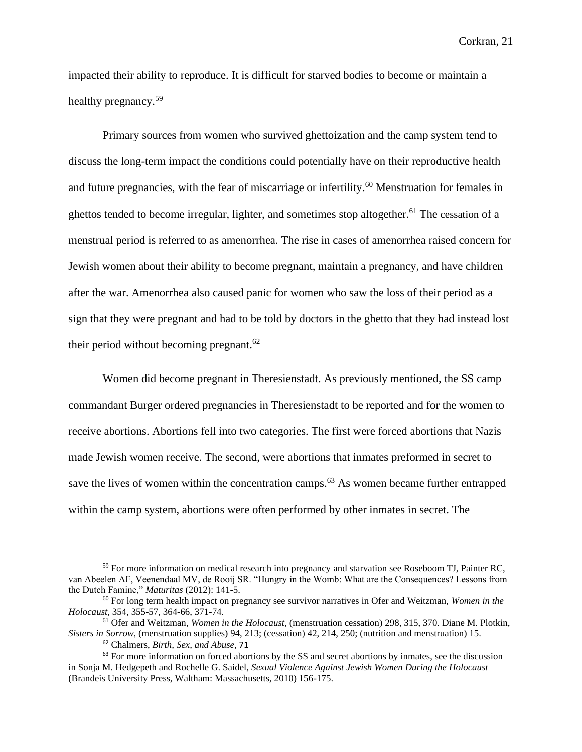impacted their ability to reproduce. It is difficult for starved bodies to become or maintain a healthy pregnancy.<sup>59</sup>

Primary sources from women who survived ghettoization and the camp system tend to discuss the long-term impact the conditions could potentially have on their reproductive health and future pregnancies, with the fear of miscarriage or infertility.<sup>60</sup> Menstruation for females in ghettos tended to become irregular, lighter, and sometimes stop altogether.<sup>61</sup> The cessation of a menstrual period is referred to as amenorrhea. The rise in cases of amenorrhea raised concern for Jewish women about their ability to become pregnant, maintain a pregnancy, and have children after the war. Amenorrhea also caused panic for women who saw the loss of their period as a sign that they were pregnant and had to be told by doctors in the ghetto that they had instead lost their period without becoming pregnant.<sup>62</sup>

Women did become pregnant in Theresienstadt. As previously mentioned, the SS camp commandant Burger ordered pregnancies in Theresienstadt to be reported and for the women to receive abortions. Abortions fell into two categories. The first were forced abortions that Nazis made Jewish women receive. The second, were abortions that inmates preformed in secret to save the lives of women within the concentration camps.<sup>63</sup> As women became further entrapped within the camp system, abortions were often performed by other inmates in secret. The

<sup>59</sup> For more information on medical research into pregnancy and starvation see Roseboom TJ, Painter RC, van Abeelen AF, Veenendaal MV, de Rooij SR. "Hungry in the Womb: What are the Consequences? Lessons from the Dutch Famine," *Maturitas* (2012): 141-5.

<sup>60</sup> For long term health impact on pregnancy see survivor narratives in Ofer and Weitzman, *Women in the Holocaust,* 354, 355-57, 364-66, 371-74.

<sup>61</sup> Ofer and Weitzman, *Women in the Holocaust,* (menstruation cessation) 298, 315, 370. Diane M. Plotkin, *Sisters in Sorrow,* (menstruation supplies) 94, 213; (cessation) 42, 214, 250; (nutrition and menstruation) 15.

<sup>62</sup> Chalmers, *Birth, Sex, and Abuse*, 71

<sup>&</sup>lt;sup>63</sup> For more information on forced abortions by the SS and secret abortions by inmates, see the discussion in Sonja M. Hedgepeth and Rochelle G. Saidel, *Sexual Violence Against Jewish Women During the Holocaust* (Brandeis University Press, Waltham: Massachusetts, 2010) 156-175.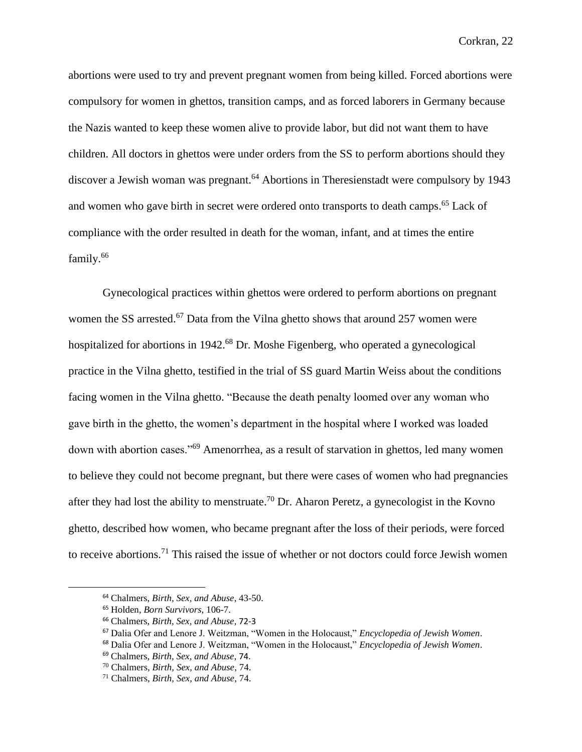abortions were used to try and prevent pregnant women from being killed. Forced abortions were compulsory for women in ghettos, transition camps, and as forced laborers in Germany because the Nazis wanted to keep these women alive to provide labor, but did not want them to have children. All doctors in ghettos were under orders from the SS to perform abortions should they discover a Jewish woman was pregnant.<sup>64</sup> Abortions in Theresienstadt were compulsory by 1943 and women who gave birth in secret were ordered onto transports to death camps. <sup>65</sup> Lack of compliance with the order resulted in death for the woman, infant, and at times the entire family.<sup>66</sup>

Gynecological practices within ghettos were ordered to perform abortions on pregnant women the SS arrested.<sup>67</sup> Data from the Vilna ghetto shows that around 257 women were hospitalized for abortions in 1942.<sup>68</sup> Dr. Moshe Figenberg, who operated a gynecological practice in the Vilna ghetto, testified in the trial of SS guard Martin Weiss about the conditions facing women in the Vilna ghetto. "Because the death penalty loomed over any woman who gave birth in the ghetto, the women's department in the hospital where I worked was loaded down with abortion cases."<sup>69</sup> Amenorrhea, as a result of starvation in ghettos, led many women to believe they could not become pregnant, but there were cases of women who had pregnancies after they had lost the ability to menstruate.<sup>70</sup> Dr. Aharon Peretz, a gynecologist in the Kovno ghetto, described how women, who became pregnant after the loss of their periods, were forced to receive abortions.<sup>71</sup> This raised the issue of whether or not doctors could force Jewish women

<sup>64</sup> Chalmers, *Birth, Sex, and Abuse*, 43-50.

<sup>65</sup> Holden, *Born Survivors,* 106-7.

<sup>66</sup> Chalmers, *Birth, Sex, and Abuse*, 72-3

<sup>67</sup> Dalia Ofer and Lenore J. Weitzman, "Women in the Holocaust," *Encyclopedia of Jewish Women*.

<sup>68</sup> Dalia Ofer and Lenore J. Weitzman, "Women in the Holocaust," *Encyclopedia of Jewish Women*.

<sup>69</sup> Chalmers, *Birth, Sex, and Abuse*, 74.

<sup>70</sup> Chalmers, *Birth, Sex, and Abuse*, 74.

<sup>71</sup> Chalmers, *Birth, Sex, and Abuse*, 74.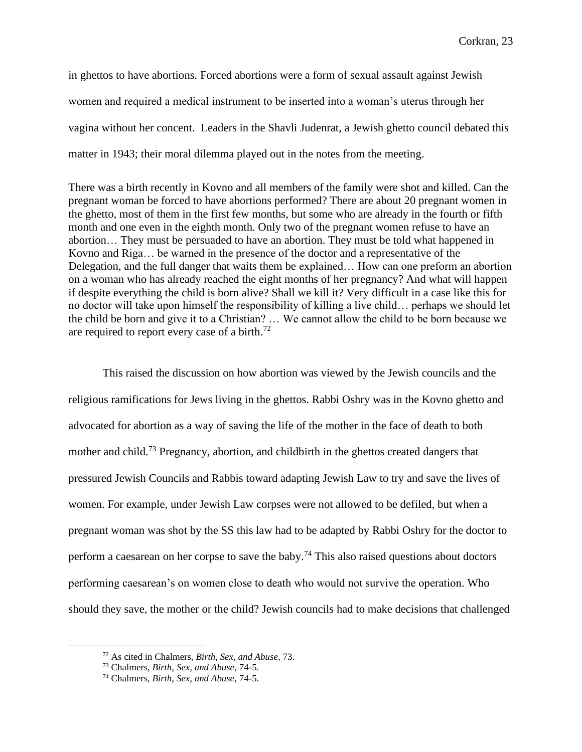in ghettos to have abortions. Forced abortions were a form of sexual assault against Jewish women and required a medical instrument to be inserted into a woman's uterus through her vagina without her concent. Leaders in the Shavli Judenrat, a Jewish ghetto council debated this matter in 1943; their moral dilemma played out in the notes from the meeting.

There was a birth recently in Kovno and all members of the family were shot and killed. Can the pregnant woman be forced to have abortions performed? There are about 20 pregnant women in the ghetto, most of them in the first few months, but some who are already in the fourth or fifth month and one even in the eighth month. Only two of the pregnant women refuse to have an abortion… They must be persuaded to have an abortion. They must be told what happened in Kovno and Riga… be warned in the presence of the doctor and a representative of the Delegation, and the full danger that waits them be explained… How can one preform an abortion on a woman who has already reached the eight months of her pregnancy? And what will happen if despite everything the child is born alive? Shall we kill it? Very difficult in a case like this for no doctor will take upon himself the responsibility of killing a live child… perhaps we should let the child be born and give it to a Christian? … We cannot allow the child to be born because we are required to report every case of a birth.<sup>72</sup>

This raised the discussion on how abortion was viewed by the Jewish councils and the religious ramifications for Jews living in the ghettos. Rabbi Oshry was in the Kovno ghetto and advocated for abortion as a way of saving the life of the mother in the face of death to both mother and child.<sup>73</sup> Pregnancy, abortion, and childbirth in the ghettos created dangers that pressured Jewish Councils and Rabbis toward adapting Jewish Law to try and save the lives of women. For example, under Jewish Law corpses were not allowed to be defiled, but when a pregnant woman was shot by the SS this law had to be adapted by Rabbi Oshry for the doctor to perform a caesarean on her corpse to save the baby.<sup>74</sup> This also raised questions about doctors performing caesarean's on women close to death who would not survive the operation. Who should they save, the mother or the child? Jewish councils had to make decisions that challenged

<sup>72</sup> As cited in Chalmers, *Birth, Sex, and Abuse*, 73.

<sup>73</sup> Chalmers, *Birth, Sex, and Abuse*, 74-5.

<sup>74</sup> Chalmers, *Birth, Sex, and Abuse*, 74-5.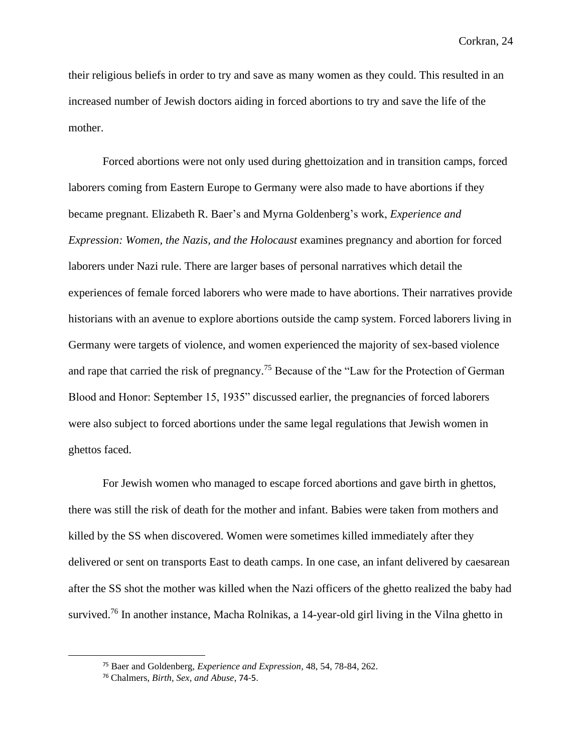their religious beliefs in order to try and save as many women as they could. This resulted in an increased number of Jewish doctors aiding in forced abortions to try and save the life of the mother.

Forced abortions were not only used during ghettoization and in transition camps, forced laborers coming from Eastern Europe to Germany were also made to have abortions if they became pregnant. Elizabeth R. Baer's and Myrna Goldenberg's work, *Experience and Expression: Women, the Nazis, and the Holocaust* examines pregnancy and abortion for forced laborers under Nazi rule. There are larger bases of personal narratives which detail the experiences of female forced laborers who were made to have abortions. Their narratives provide historians with an avenue to explore abortions outside the camp system. Forced laborers living in Germany were targets of violence, and women experienced the majority of sex-based violence and rape that carried the risk of pregnancy.<sup>75</sup> Because of the "Law for the Protection of German" Blood and Honor: September 15, 1935" discussed earlier, the pregnancies of forced laborers were also subject to forced abortions under the same legal regulations that Jewish women in ghettos faced.

For Jewish women who managed to escape forced abortions and gave birth in ghettos, there was still the risk of death for the mother and infant. Babies were taken from mothers and killed by the SS when discovered. Women were sometimes killed immediately after they delivered or sent on transports East to death camps. In one case, an infant delivered by caesarean after the SS shot the mother was killed when the Nazi officers of the ghetto realized the baby had survived.<sup>76</sup> In another instance, Macha Rolnikas, a 14-year-old girl living in the Vilna ghetto in

<sup>75</sup> Baer and Goldenberg, *Experience and Expression,* 48, 54, 78-84, 262.

<sup>76</sup> Chalmers, *Birth, Sex, and Abuse*, 74-5.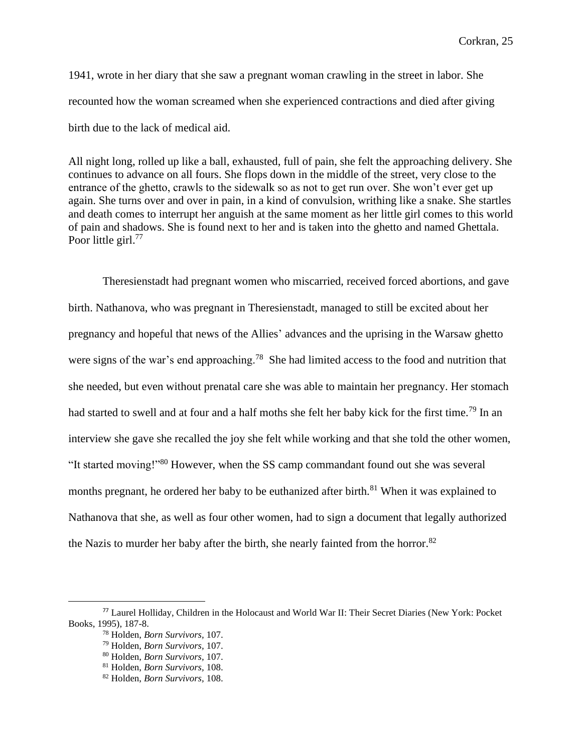1941, wrote in her diary that she saw a pregnant woman crawling in the street in labor. She recounted how the woman screamed when she experienced contractions and died after giving birth due to the lack of medical aid.

All night long, rolled up like a ball, exhausted, full of pain, she felt the approaching delivery. She continues to advance on all fours. She flops down in the middle of the street, very close to the entrance of the ghetto, crawls to the sidewalk so as not to get run over. She won't ever get up again. She turns over and over in pain, in a kind of convulsion, writhing like a snake. She startles and death comes to interrupt her anguish at the same moment as her little girl comes to this world of pain and shadows. She is found next to her and is taken into the ghetto and named Ghettala. Poor little girl.<sup>77</sup>

Theresienstadt had pregnant women who miscarried, received forced abortions, and gave birth. Nathanova, who was pregnant in Theresienstadt, managed to still be excited about her pregnancy and hopeful that news of the Allies' advances and the uprising in the Warsaw ghetto were signs of the war's end approaching.<sup>78</sup> She had limited access to the food and nutrition that she needed, but even without prenatal care she was able to maintain her pregnancy. Her stomach had started to swell and at four and a half moths she felt her baby kick for the first time.<sup>79</sup> In an interview she gave she recalled the joy she felt while working and that she told the other women, "It started moving!"<sup>80</sup> However, when the SS camp commandant found out she was several months pregnant, he ordered her baby to be euthanized after birth.<sup>81</sup> When it was explained to Nathanova that she, as well as four other women, had to sign a document that legally authorized the Nazis to murder her baby after the birth, she nearly fainted from the horror.<sup>82</sup>

<sup>77</sup> Laurel Holliday, Children in the Holocaust and World War II: Their Secret Diaries (New York: Pocket Books, 1995), 187-8.

<sup>78</sup> Holden, *Born Survivors,* 107.

<sup>79</sup> Holden, *Born Survivors,* 107.

<sup>80</sup> Holden, *Born Survivors,* 107.

<sup>81</sup> Holden, *Born Survivors,* 108.

<sup>82</sup> Holden, *Born Survivors,* 108.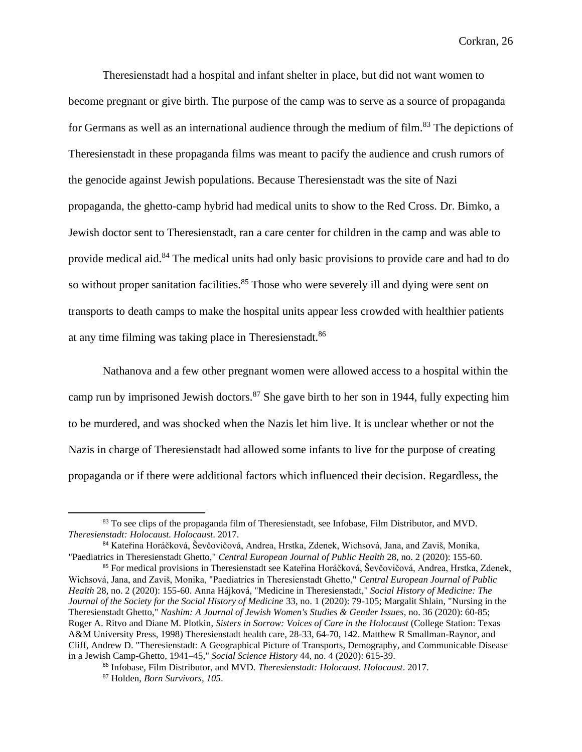Theresienstadt had a hospital and infant shelter in place, but did not want women to become pregnant or give birth. The purpose of the camp was to serve as a source of propaganda for Germans as well as an international audience through the medium of film.<sup>83</sup> The depictions of Theresienstadt in these propaganda films was meant to pacify the audience and crush rumors of the genocide against Jewish populations. Because Theresienstadt was the site of Nazi propaganda, the ghetto-camp hybrid had medical units to show to the Red Cross. Dr. Bimko, a Jewish doctor sent to Theresienstadt, ran a care center for children in the camp and was able to provide medical aid.<sup>84</sup> The medical units had only basic provisions to provide care and had to do so without proper sanitation facilities.<sup>85</sup> Those who were severely ill and dying were sent on transports to death camps to make the hospital units appear less crowded with healthier patients at any time filming was taking place in Theresienstadt.<sup>86</sup>

Nathanova and a few other pregnant women were allowed access to a hospital within the camp run by imprisoned Jewish doctors.<sup>87</sup> She gave birth to her son in 1944, fully expecting him to be murdered, and was shocked when the Nazis let him live. It is unclear whether or not the Nazis in charge of Theresienstadt had allowed some infants to live for the purpose of creating propaganda or if there were additional factors which influenced their decision. Regardless, the

<sup>&</sup>lt;sup>83</sup> To see clips of the propaganda film of Theresienstadt, see Infobase, Film Distributor, and MVD. *Theresienstadt: Holocaust. Holocaust*. 2017.

<sup>84</sup> Kateřina Horáčková, Ševčovičová, Andrea, Hrstka, Zdenek, Wichsová, Jana, and Zaviš, Monika, "Paediatrics in Theresienstadt Ghetto," *Central European Journal of Public Health* 28, no. 2 (2020): 155-60.

<sup>85</sup> For medical provisions in Theresienstadt see Kateřina Horáčková, Ševčovičová, Andrea, Hrstka, Zdenek, Wichsová, Jana, and Zaviš, Monika, "Paediatrics in Theresienstadt Ghetto," *Central European Journal of Public Health* 28, no. 2 (2020): 155-60. Anna Hájková, "Medicine in Theresienstadt," *Social History of Medicine: The Journal of the Society for the Social History of Medicine* 33, no. 1 (2020): 79-105; Margalit Shlain, "Nursing in the Theresienstadt Ghetto," *Nashim: A Journal of Jewish Women's Studies & Gender Issues*, no. 36 (2020): 60-85; Roger A. Ritvo and Diane M. Plotkin, *Sisters in Sorrow: Voices of Care in the Holocaust* (College Station: Texas A&M University Press, 1998) Theresienstadt health care, 28-33, 64-70, 142. Matthew R Smallman-Raynor, and Cliff, Andrew D. "Theresienstadt: A Geographical Picture of Transports, Demography, and Communicable Disease in a Jewish Camp-Ghetto, 1941–45," *Social Science History* 44, no. 4 (2020): 615-39.

<sup>86</sup> Infobase, Film Distributor, and MVD. *Theresienstadt: Holocaust. Holocaust*. 2017. <sup>87</sup> Holden, *Born Survivors, 105*.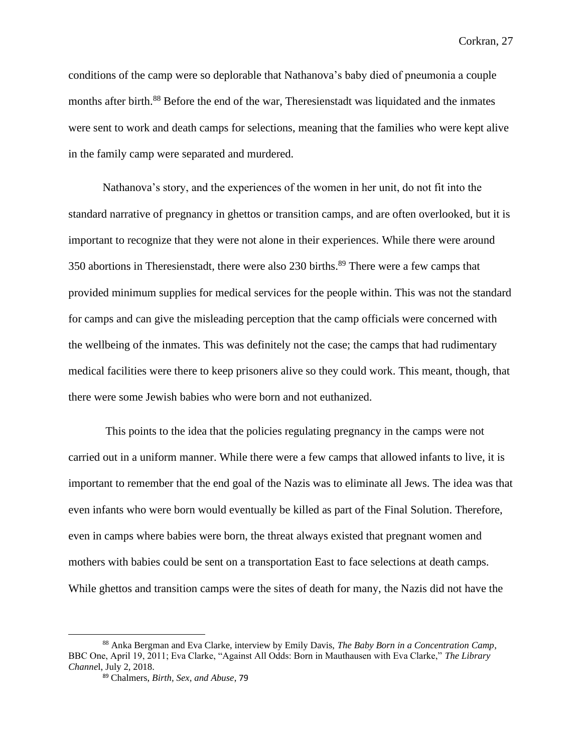conditions of the camp were so deplorable that Nathanova's baby died of pneumonia a couple months after birth.<sup>88</sup> Before the end of the war, Theresienstadt was liquidated and the inmates were sent to work and death camps for selections, meaning that the families who were kept alive in the family camp were separated and murdered.

Nathanova's story, and the experiences of the women in her unit, do not fit into the standard narrative of pregnancy in ghettos or transition camps, and are often overlooked, but it is important to recognize that they were not alone in their experiences. While there were around 350 abortions in Theresienstadt, there were also 230 births.<sup>89</sup> There were a few camps that provided minimum supplies for medical services for the people within. This was not the standard for camps and can give the misleading perception that the camp officials were concerned with the wellbeing of the inmates. This was definitely not the case; the camps that had rudimentary medical facilities were there to keep prisoners alive so they could work. This meant, though, that there were some Jewish babies who were born and not euthanized.

This points to the idea that the policies regulating pregnancy in the camps were not carried out in a uniform manner. While there were a few camps that allowed infants to live, it is important to remember that the end goal of the Nazis was to eliminate all Jews. The idea was that even infants who were born would eventually be killed as part of the Final Solution. Therefore, even in camps where babies were born, the threat always existed that pregnant women and mothers with babies could be sent on a transportation East to face selections at death camps. While ghettos and transition camps were the sites of death for many, the Nazis did not have the

<sup>88</sup> Anka Bergman and Eva Clarke, interview by Emily Davis, *The Baby Born in a Concentration Camp*, BBC One, April 19, 2011; Eva Clarke, "Against All Odds: Born in Mauthausen with Eva Clarke," *The Library Channe*l, July 2, 2018.

<sup>89</sup> Chalmers, *Birth, Sex, and Abuse*, 79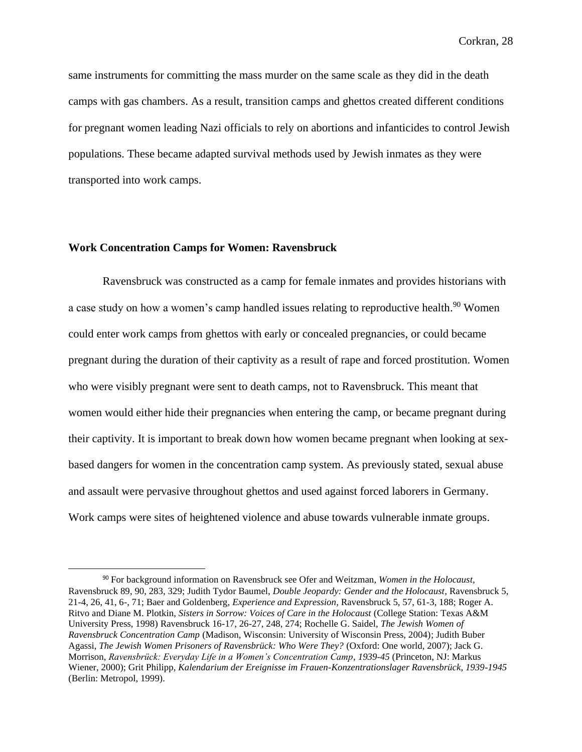same instruments for committing the mass murder on the same scale as they did in the death camps with gas chambers. As a result, transition camps and ghettos created different conditions for pregnant women leading Nazi officials to rely on abortions and infanticides to control Jewish populations. These became adapted survival methods used by Jewish inmates as they were transported into work camps.

## **Work Concentration Camps for Women: Ravensbruck**

Ravensbruck was constructed as a camp for female inmates and provides historians with a case study on how a women's camp handled issues relating to reproductive health.<sup>90</sup> Women could enter work camps from ghettos with early or concealed pregnancies, or could became pregnant during the duration of their captivity as a result of rape and forced prostitution. Women who were visibly pregnant were sent to death camps, not to Ravensbruck. This meant that women would either hide their pregnancies when entering the camp, or became pregnant during their captivity. It is important to break down how women became pregnant when looking at sexbased dangers for women in the concentration camp system. As previously stated, sexual abuse and assault were pervasive throughout ghettos and used against forced laborers in Germany. Work camps were sites of heightened violence and abuse towards vulnerable inmate groups.

<sup>90</sup> For background information on Ravensbruck see Ofer and Weitzman, *Women in the Holocaust,*  Ravensbruck 89, 90, 283, 329; Judith Tydor Baumel, *Double Jeopardy: Gender and the Holocaust,* Ravensbruck 5, 21-4, 26, 41, 6-, 71; Baer and Goldenberg, *Experience and Expression*, Ravensbruck 5, 57, 61-3, 188; Roger A. Ritvo and Diane M. Plotkin, *Sisters in Sorrow: Voices of Care in the Holocaust* (College Station: Texas A&M University Press, 1998) Ravensbruck 16-17, 26-27, 248, 274; Rochelle G. Saidel, *The Jewish Women of Ravensbruck Concentration Camp* (Madison, Wisconsin: University of Wisconsin Press, 2004); Judith Buber Agassi, *The Jewish Women Prisoners of Ravensbrück: Who Were They?* (Oxford: One world, 2007); Jack G. Morrison, *Ravensbrück: Everyday Life in a Women's Concentration Camp*, *1939-45* (Princeton, NJ: Markus Wiener, 2000); Grit Philipp, *Kalendarium der Ereignisse im Frauen-Konzentrationslager Ravensbrück, 1939-1945* (Berlin: Metropol, 1999).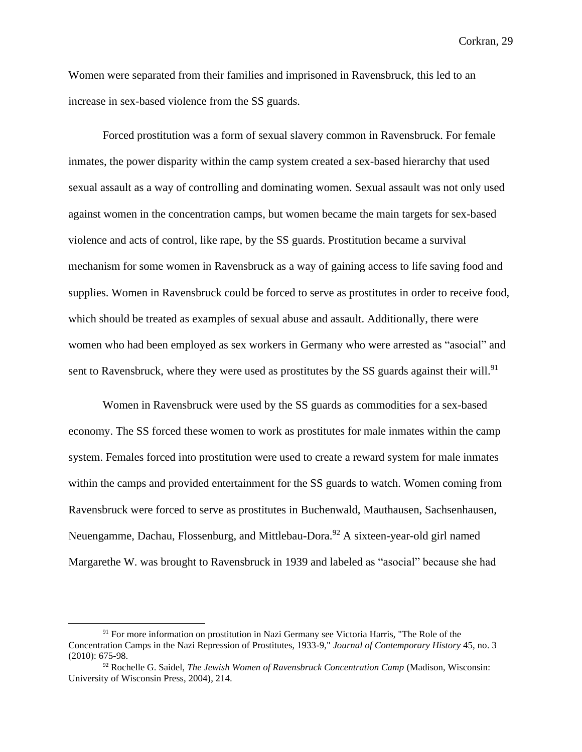Women were separated from their families and imprisoned in Ravensbruck, this led to an increase in sex-based violence from the SS guards.

Forced prostitution was a form of sexual slavery common in Ravensbruck. For female inmates, the power disparity within the camp system created a sex-based hierarchy that used sexual assault as a way of controlling and dominating women. Sexual assault was not only used against women in the concentration camps, but women became the main targets for sex-based violence and acts of control, like rape, by the SS guards. Prostitution became a survival mechanism for some women in Ravensbruck as a way of gaining access to life saving food and supplies. Women in Ravensbruck could be forced to serve as prostitutes in order to receive food, which should be treated as examples of sexual abuse and assault. Additionally, there were women who had been employed as sex workers in Germany who were arrested as "asocial" and sent to Ravensbruck, where they were used as prostitutes by the SS guards against their will.<sup>91</sup>

Women in Ravensbruck were used by the SS guards as commodities for a sex-based economy. The SS forced these women to work as prostitutes for male inmates within the camp system. Females forced into prostitution were used to create a reward system for male inmates within the camps and provided entertainment for the SS guards to watch. Women coming from Ravensbruck were forced to serve as prostitutes in Buchenwald, Mauthausen, Sachsenhausen, Neuengamme, Dachau, Flossenburg, and Mittlebau-Dora.<sup>92</sup> A sixteen-year-old girl named Margarethe W. was brought to Ravensbruck in 1939 and labeled as "asocial" because she had

 $91$  For more information on prostitution in Nazi Germany see Victoria Harris, "The Role of the Concentration Camps in the Nazi Repression of Prostitutes, 1933-9," *Journal of Contemporary History* 45, no. 3 (2010): 675-98.

<sup>92</sup> Rochelle G. Saidel, *The Jewish Women of Ravensbruck Concentration Camp* (Madison, Wisconsin: University of Wisconsin Press, 2004), 214.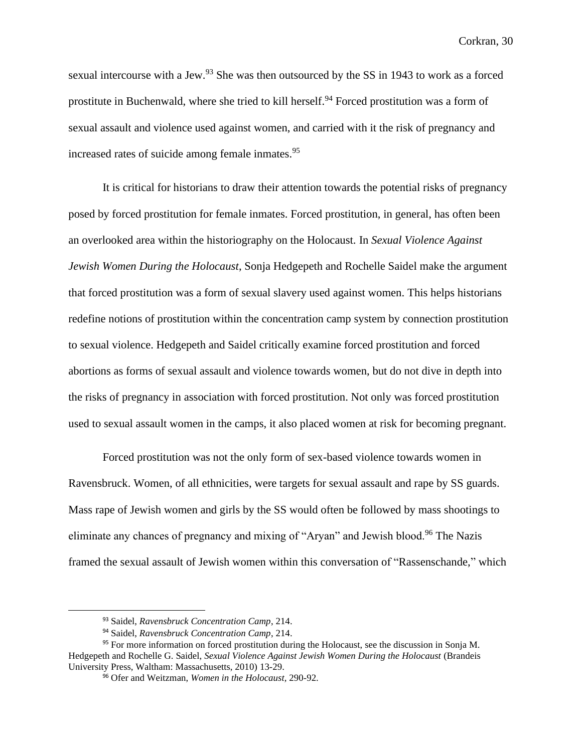sexual intercourse with a Jew.<sup>93</sup> She was then outsourced by the SS in 1943 to work as a forced prostitute in Buchenwald, where she tried to kill herself.<sup>94</sup> Forced prostitution was a form of sexual assault and violence used against women, and carried with it the risk of pregnancy and increased rates of suicide among female inmates.<sup>95</sup>

It is critical for historians to draw their attention towards the potential risks of pregnancy posed by forced prostitution for female inmates. Forced prostitution, in general, has often been an overlooked area within the historiography on the Holocaust. In *Sexual Violence Against Jewish Women During the Holocaust*, Sonja Hedgepeth and Rochelle Saidel make the argument that forced prostitution was a form of sexual slavery used against women. This helps historians redefine notions of prostitution within the concentration camp system by connection prostitution to sexual violence. Hedgepeth and Saidel critically examine forced prostitution and forced abortions as forms of sexual assault and violence towards women, but do not dive in depth into the risks of pregnancy in association with forced prostitution. Not only was forced prostitution used to sexual assault women in the camps, it also placed women at risk for becoming pregnant.

Forced prostitution was not the only form of sex-based violence towards women in Ravensbruck. Women, of all ethnicities, were targets for sexual assault and rape by SS guards. Mass rape of Jewish women and girls by the SS would often be followed by mass shootings to eliminate any chances of pregnancy and mixing of "Aryan" and Jewish blood.<sup>96</sup> The Nazis framed the sexual assault of Jewish women within this conversation of "Rassenschande," which

<sup>93</sup> Saidel, *Ravensbruck Concentration Camp*, 214.

<sup>94</sup> Saidel, *Ravensbruck Concentration Camp*, 214.

<sup>&</sup>lt;sup>95</sup> For more information on forced prostitution during the Holocaust, see the discussion in Sonja M. Hedgepeth and Rochelle G. Saidel, *Sexual Violence Against Jewish Women During the Holocaust* (Brandeis University Press, Waltham: Massachusetts, 2010) 13-29.

<sup>96</sup> Ofer and Weitzman, *Women in the Holocaust,* 290-92.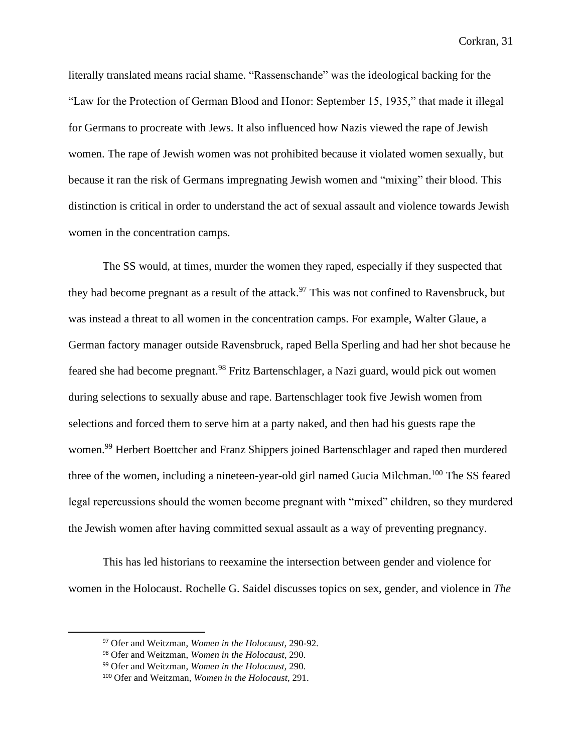literally translated means racial shame. "Rassenschande" was the ideological backing for the "Law for the Protection of German Blood and Honor: September 15, 1935," that made it illegal for Germans to procreate with Jews. It also influenced how Nazis viewed the rape of Jewish women. The rape of Jewish women was not prohibited because it violated women sexually, but because it ran the risk of Germans impregnating Jewish women and "mixing" their blood. This distinction is critical in order to understand the act of sexual assault and violence towards Jewish women in the concentration camps.

The SS would, at times, murder the women they raped, especially if they suspected that they had become pregnant as a result of the attack.<sup>97</sup> This was not confined to Ravensbruck, but was instead a threat to all women in the concentration camps. For example, Walter Glaue, a German factory manager outside Ravensbruck, raped Bella Sperling and had her shot because he feared she had become pregnant.<sup>98</sup> Fritz Bartenschlager, a Nazi guard, would pick out women during selections to sexually abuse and rape. Bartenschlager took five Jewish women from selections and forced them to serve him at a party naked, and then had his guests rape the women.<sup>99</sup> Herbert Boettcher and Franz Shippers joined Bartenschlager and raped then murdered three of the women, including a nineteen-year-old girl named Gucia Milchman.<sup>100</sup> The SS feared legal repercussions should the women become pregnant with "mixed" children, so they murdered the Jewish women after having committed sexual assault as a way of preventing pregnancy.

This has led historians to reexamine the intersection between gender and violence for women in the Holocaust. Rochelle G. Saidel discusses topics on sex, gender, and violence in *The* 

<sup>97</sup> Ofer and Weitzman, *Women in the Holocaust,* 290-92.

<sup>98</sup> Ofer and Weitzman, *Women in the Holocaust,* 290.

<sup>99</sup> Ofer and Weitzman, *Women in the Holocaust,* 290.

<sup>100</sup> Ofer and Weitzman, *Women in the Holocaust,* 291.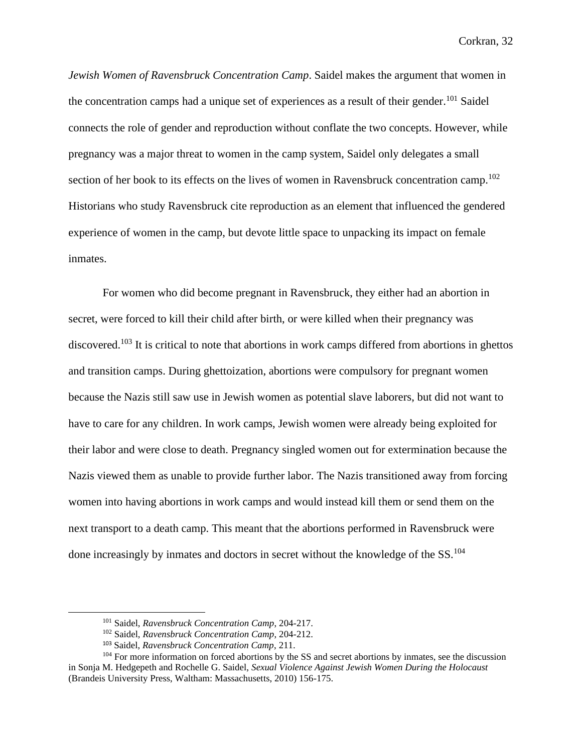*Jewish Women of Ravensbruck Concentration Camp*. Saidel makes the argument that women in the concentration camps had a unique set of experiences as a result of their gender.<sup>101</sup> Saidel connects the role of gender and reproduction without conflate the two concepts. However, while pregnancy was a major threat to women in the camp system, Saidel only delegates a small section of her book to its effects on the lives of women in Ravensbruck concentration camp.<sup>102</sup> Historians who study Ravensbruck cite reproduction as an element that influenced the gendered experience of women in the camp, but devote little space to unpacking its impact on female inmates.

For women who did become pregnant in Ravensbruck, they either had an abortion in secret, were forced to kill their child after birth, or were killed when their pregnancy was discovered.<sup>103</sup> It is critical to note that abortions in work camps differed from abortions in ghettos and transition camps. During ghettoization, abortions were compulsory for pregnant women because the Nazis still saw use in Jewish women as potential slave laborers, but did not want to have to care for any children. In work camps, Jewish women were already being exploited for their labor and were close to death. Pregnancy singled women out for extermination because the Nazis viewed them as unable to provide further labor. The Nazis transitioned away from forcing women into having abortions in work camps and would instead kill them or send them on the next transport to a death camp. This meant that the abortions performed in Ravensbruck were done increasingly by inmates and doctors in secret without the knowledge of the SS.<sup>104</sup>

<sup>101</sup> Saidel, *Ravensbruck Concentration Camp*, 204-217.

<sup>102</sup> Saidel, *Ravensbruck Concentration Camp*, 204-212.

<sup>103</sup> Saidel, *Ravensbruck Concentration Camp*, 211.

<sup>&</sup>lt;sup>104</sup> For more information on forced abortions by the SS and secret abortions by inmates, see the discussion in Sonja M. Hedgepeth and Rochelle G. Saidel, *Sexual Violence Against Jewish Women During the Holocaust* (Brandeis University Press, Waltham: Massachusetts, 2010) 156-175.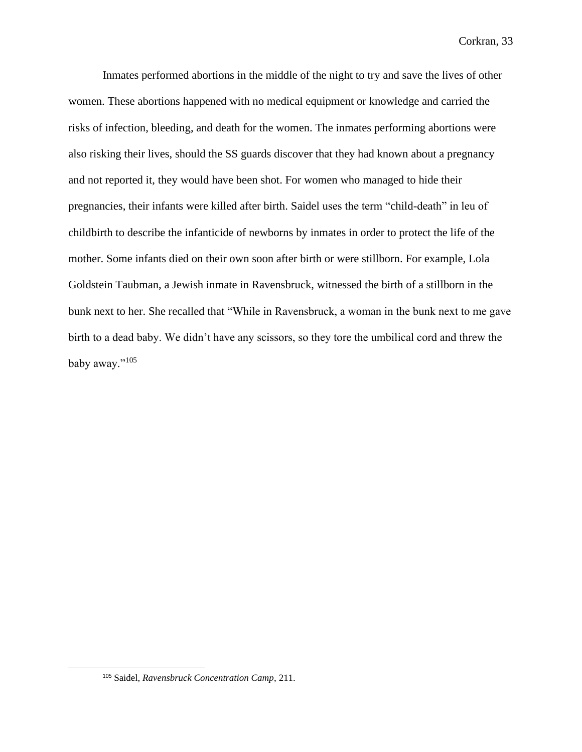Inmates performed abortions in the middle of the night to try and save the lives of other women. These abortions happened with no medical equipment or knowledge and carried the risks of infection, bleeding, and death for the women. The inmates performing abortions were also risking their lives, should the SS guards discover that they had known about a pregnancy and not reported it, they would have been shot. For women who managed to hide their pregnancies, their infants were killed after birth. Saidel uses the term "child-death" in leu of childbirth to describe the infanticide of newborns by inmates in order to protect the life of the mother. Some infants died on their own soon after birth or were stillborn. For example, Lola Goldstein Taubman, a Jewish inmate in Ravensbruck, witnessed the birth of a stillborn in the bunk next to her. She recalled that "While in Ravensbruck, a woman in the bunk next to me gave birth to a dead baby. We didn't have any scissors, so they tore the umbilical cord and threw the baby away."105

<sup>105</sup> Saidel, *Ravensbruck Concentration Camp*, 211.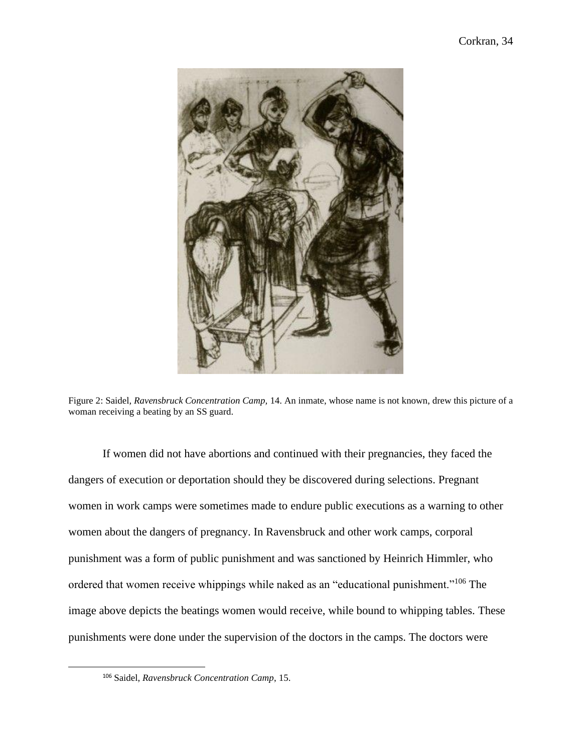

Figure 2: Saidel*, Ravensbruck Concentration Camp,* 14. An inmate, whose name is not known, drew this picture of a woman receiving a beating by an SS guard.

If women did not have abortions and continued with their pregnancies, they faced the dangers of execution or deportation should they be discovered during selections. Pregnant women in work camps were sometimes made to endure public executions as a warning to other women about the dangers of pregnancy. In Ravensbruck and other work camps, corporal punishment was a form of public punishment and was sanctioned by Heinrich Himmler, who ordered that women receive whippings while naked as an "educational punishment."<sup>106</sup> The image above depicts the beatings women would receive, while bound to whipping tables. These punishments were done under the supervision of the doctors in the camps. The doctors were

<sup>106</sup> Saidel, *Ravensbruck Concentration Camp*, 15.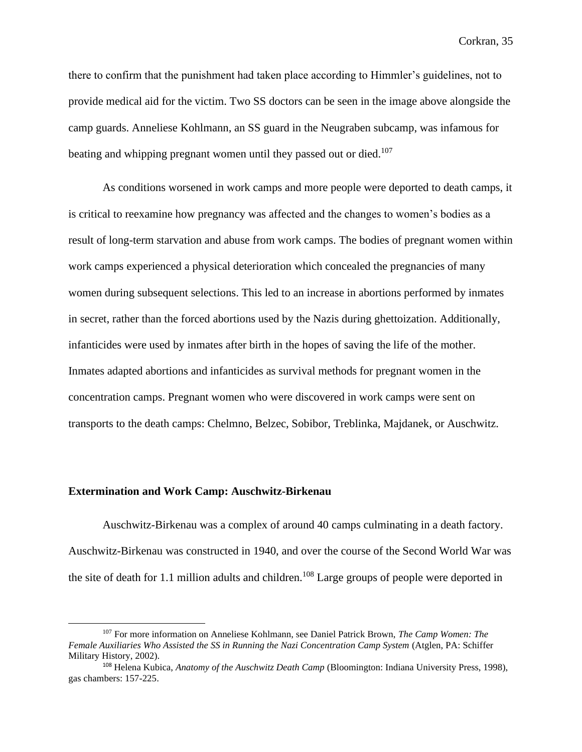there to confirm that the punishment had taken place according to Himmler's guidelines, not to provide medical aid for the victim. Two SS doctors can be seen in the image above alongside the camp guards. Anneliese Kohlmann, an SS guard in the Neugraben subcamp, was infamous for beating and whipping pregnant women until they passed out or died.<sup>107</sup>

As conditions worsened in work camps and more people were deported to death camps, it is critical to reexamine how pregnancy was affected and the changes to women's bodies as a result of long-term starvation and abuse from work camps. The bodies of pregnant women within work camps experienced a physical deterioration which concealed the pregnancies of many women during subsequent selections. This led to an increase in abortions performed by inmates in secret, rather than the forced abortions used by the Nazis during ghettoization. Additionally, infanticides were used by inmates after birth in the hopes of saving the life of the mother. Inmates adapted abortions and infanticides as survival methods for pregnant women in the concentration camps. Pregnant women who were discovered in work camps were sent on transports to the death camps: Chelmno, Belzec, Sobibor, Treblinka, Majdanek, or Auschwitz.

## **Extermination and Work Camp: Auschwitz-Birkenau**

Auschwitz-Birkenau was a complex of around 40 camps culminating in a death factory. Auschwitz-Birkenau was constructed in 1940, and over the course of the Second World War was the site of death for 1.1 million adults and children.<sup>108</sup> Large groups of people were deported in

<sup>107</sup> For more information on Anneliese Kohlmann, see Daniel Patrick Brown, *The Camp Women: The Female Auxiliaries Who Assisted the SS in Running the Nazi Concentration Camp System* (Atglen, PA: Schiffer Military History, 2002).

<sup>108</sup> Helena Kubica, *Anatomy of the Auschwitz Death Camp* (Bloomington: Indiana University Press, 1998), gas chambers: 157-225.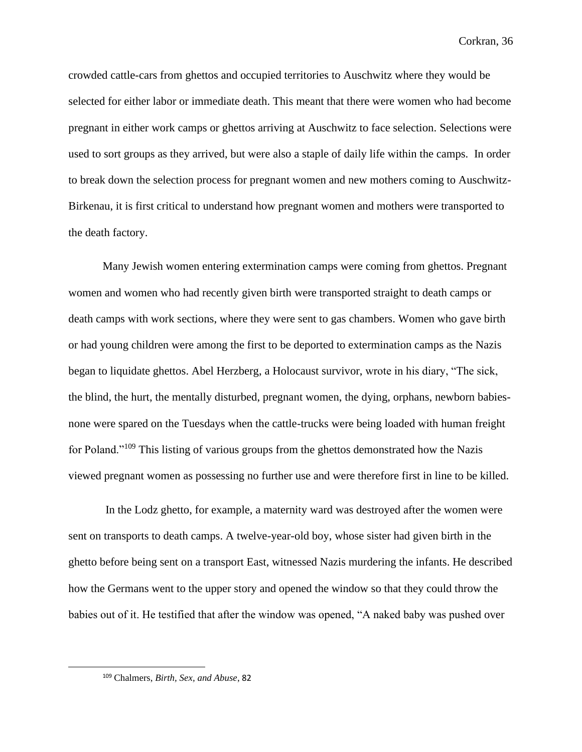crowded cattle-cars from ghettos and occupied territories to Auschwitz where they would be selected for either labor or immediate death. This meant that there were women who had become pregnant in either work camps or ghettos arriving at Auschwitz to face selection. Selections were used to sort groups as they arrived, but were also a staple of daily life within the camps. In order to break down the selection process for pregnant women and new mothers coming to Auschwitz-Birkenau, it is first critical to understand how pregnant women and mothers were transported to the death factory.

Many Jewish women entering extermination camps were coming from ghettos. Pregnant women and women who had recently given birth were transported straight to death camps or death camps with work sections, where they were sent to gas chambers. Women who gave birth or had young children were among the first to be deported to extermination camps as the Nazis began to liquidate ghettos. Abel Herzberg, a Holocaust survivor, wrote in his diary, "The sick, the blind, the hurt, the mentally disturbed, pregnant women, the dying, orphans, newborn babiesnone were spared on the Tuesdays when the cattle-trucks were being loaded with human freight for Poland."<sup>109</sup> This listing of various groups from the ghettos demonstrated how the Nazis viewed pregnant women as possessing no further use and were therefore first in line to be killed.

In the Lodz ghetto, for example, a maternity ward was destroyed after the women were sent on transports to death camps. A twelve-year-old boy, whose sister had given birth in the ghetto before being sent on a transport East, witnessed Nazis murdering the infants. He described how the Germans went to the upper story and opened the window so that they could throw the babies out of it. He testified that after the window was opened, "A naked baby was pushed over

<sup>109</sup> Chalmers, *Birth, Sex, and Abuse*, 82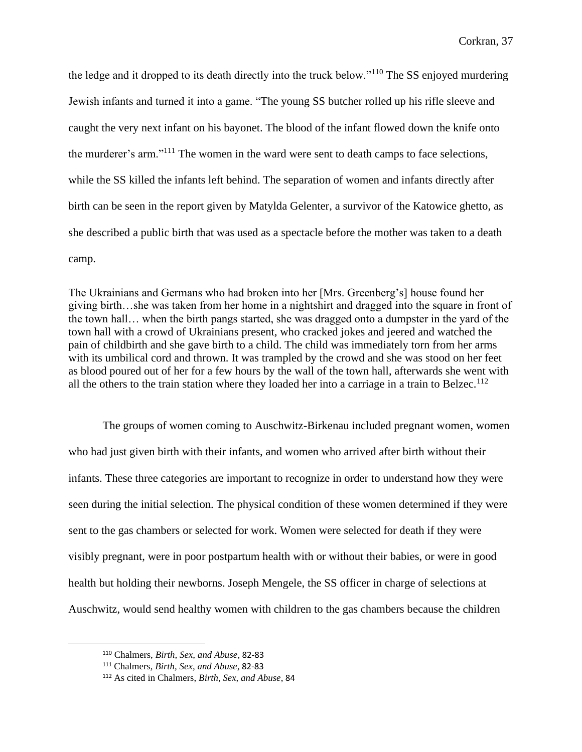the ledge and it dropped to its death directly into the truck below."<sup>110</sup> The SS enjoyed murdering Jewish infants and turned it into a game. "The young SS butcher rolled up his rifle sleeve and caught the very next infant on his bayonet. The blood of the infant flowed down the knife onto the murderer's arm."<sup>111</sup> The women in the ward were sent to death camps to face selections, while the SS killed the infants left behind. The separation of women and infants directly after birth can be seen in the report given by Matylda Gelenter, a survivor of the Katowice ghetto, as she described a public birth that was used as a spectacle before the mother was taken to a death camp.

The Ukrainians and Germans who had broken into her [Mrs. Greenberg's] house found her giving birth…she was taken from her home in a nightshirt and dragged into the square in front of the town hall… when the birth pangs started, she was dragged onto a dumpster in the yard of the town hall with a crowd of Ukrainians present, who cracked jokes and jeered and watched the pain of childbirth and she gave birth to a child. The child was immediately torn from her arms with its umbilical cord and thrown. It was trampled by the crowd and she was stood on her feet as blood poured out of her for a few hours by the wall of the town hall, afterwards she went with all the others to the train station where they loaded her into a carriage in a train to Belzec.<sup>112</sup>

The groups of women coming to Auschwitz-Birkenau included pregnant women, women who had just given birth with their infants, and women who arrived after birth without their infants. These three categories are important to recognize in order to understand how they were seen during the initial selection. The physical condition of these women determined if they were sent to the gas chambers or selected for work. Women were selected for death if they were visibly pregnant, were in poor postpartum health with or without their babies, or were in good health but holding their newborns. Joseph Mengele, the SS officer in charge of selections at Auschwitz, would send healthy women with children to the gas chambers because the children

<sup>110</sup> Chalmers, *Birth, Sex, and Abuse*, 82-83

<sup>111</sup> Chalmers, *Birth, Sex, and Abuse*, 82-83

<sup>112</sup> As cited in Chalmers, *Birth, Sex, and Abuse*, 84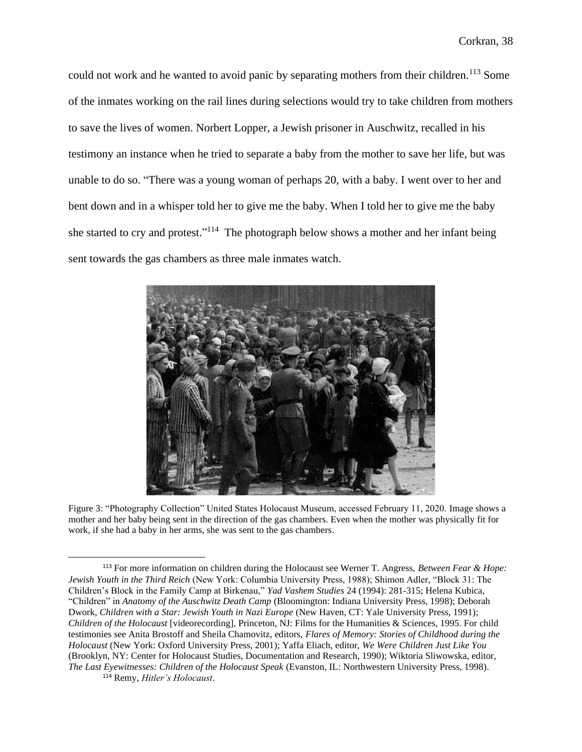could not work and he wanted to avoid panic by separating mothers from their children.<sup>113</sup> Some of the inmates working on the rail lines during selections would try to take children from mothers to save the lives of women. Norbert Lopper, a Jewish prisoner in Auschwitz, recalled in his testimony an instance when he tried to separate a baby from the mother to save her life, but was unable to do so. "There was a young woman of perhaps 20, with a baby. I went over to her and bent down and in a whisper told her to give me the baby. When I told her to give me the baby she started to cry and protest."<sup>114</sup> The photograph below shows a mother and her infant being sent towards the gas chambers as three male inmates watch.



Figure 3: "Photography Collection" United States Holocaust Museum, accessed February 11, 2020. Image shows a mother and her baby being sent in the direction of the gas chambers. Even when the mother was physically fit for work, if she had a baby in her arms, she was sent to the gas chambers.

<sup>114</sup> Remy, *Hitler's Holocaust*.

<sup>113</sup> For more information on children during the Holocaust see Werner T. Angress, *Between Fear & Hope: Jewish Youth in the Third Reich* (New York: Columbia University Press, 1988); Shimon Adler, "Block 31: The Children's Block in the Family Camp at Birkenau," *Yad Vashem Studies* 24 (1994): 281-315; Helena Kubica, "Children" in *Anatomy of the Auschwitz Death Camp* (Bloomington: Indiana University Press, 1998); Deborah Dwork, *Children with a Star: Jewish Youth in Nazi Europe* (New Haven, CT: Yale University Press, 1991); *Children of the Holocaust* [videorecording], Princeton, NJ: Films for the Humanities & Sciences, 1995. For child testimonies see Anita Brostoff and Sheila Chamovitz, editors, *Flares of Memory: Stories of Childhood during the Holocaust* (New York: Oxford University Press, 2001); Yaffa Eliach, editor, *We Were Children Just Like You* (Brooklyn, NY: Center for Holocaust Studies, Documentation and Research, 1990); Wiktoria Sliwowska, editor, *The Last Eyewitnesses: Children of the Holocaust Speak* (Evanston, IL: Northwestern University Press, 1998).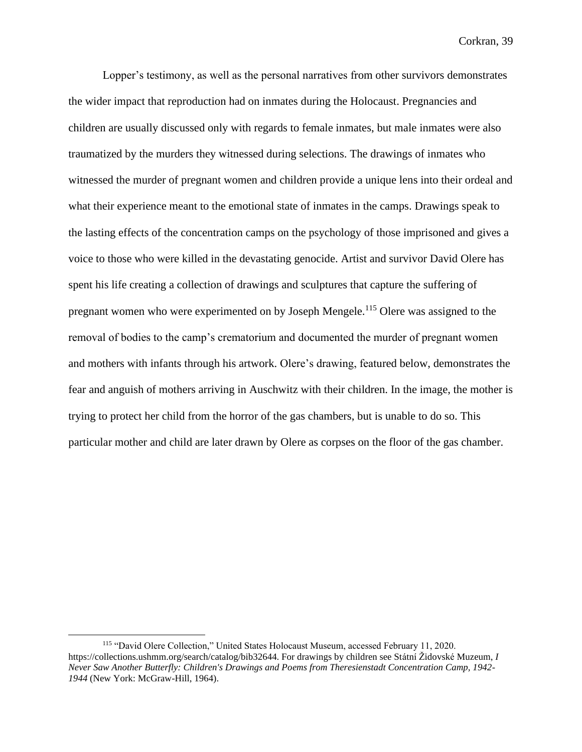Lopper's testimony, as well as the personal narratives from other survivors demonstrates the wider impact that reproduction had on inmates during the Holocaust. Pregnancies and children are usually discussed only with regards to female inmates, but male inmates were also traumatized by the murders they witnessed during selections. The drawings of inmates who witnessed the murder of pregnant women and children provide a unique lens into their ordeal and what their experience meant to the emotional state of inmates in the camps. Drawings speak to the lasting effects of the concentration camps on the psychology of those imprisoned and gives a voice to those who were killed in the devastating genocide. Artist and survivor David Olere has spent his life creating a collection of drawings and sculptures that capture the suffering of pregnant women who were experimented on by Joseph Mengele.<sup>115</sup> Olere was assigned to the removal of bodies to the camp's crematorium and documented the murder of pregnant women and mothers with infants through his artwork. Olere's drawing, featured below, demonstrates the fear and anguish of mothers arriving in Auschwitz with their children. In the image, the mother is trying to protect her child from the horror of the gas chambers, but is unable to do so. This particular mother and child are later drawn by Olere as corpses on the floor of the gas chamber.

<sup>115</sup> "David Olere Collection," United States Holocaust Museum, accessed February 11, 2020. https://collections.ushmm.org/search/catalog/bib32644. For drawings by children see Státní Židovské Muzeum, *I Never Saw Another Butterfly: Children's Drawings and Poems from Theresienstadt Concentration Camp, 1942- 1944* (New York: McGraw-Hill, 1964).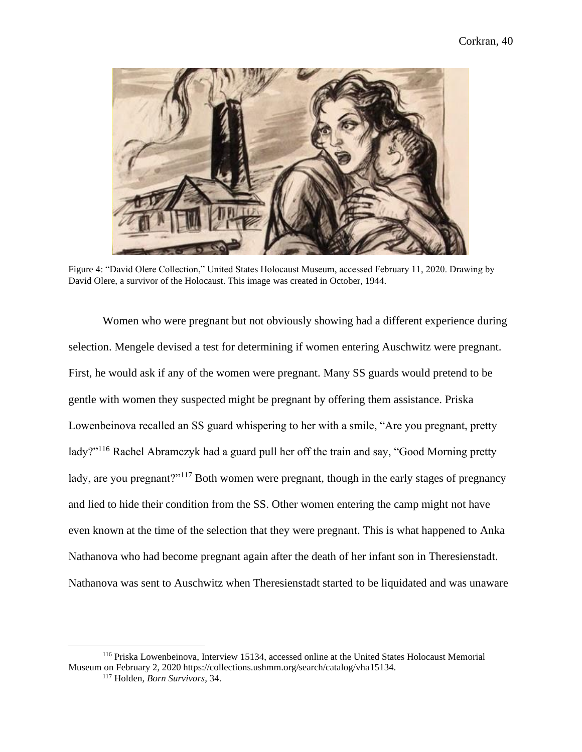

Figure 4: "David Olere Collection," United States Holocaust Museum, accessed February 11, 2020. Drawing by David Olere, a survivor of the Holocaust. This image was created in October, 1944.

Women who were pregnant but not obviously showing had a different experience during selection. Mengele devised a test for determining if women entering Auschwitz were pregnant. First, he would ask if any of the women were pregnant. Many SS guards would pretend to be gentle with women they suspected might be pregnant by offering them assistance. Priska Lowenbeinova recalled an SS guard whispering to her with a smile, "Are you pregnant, pretty lady?"<sup>116</sup> Rachel Abramczyk had a guard pull her off the train and say, "Good Morning pretty lady, are you pregnant?"<sup>117</sup> Both women were pregnant, though in the early stages of pregnancy and lied to hide their condition from the SS. Other women entering the camp might not have even known at the time of the selection that they were pregnant. This is what happened to Anka Nathanova who had become pregnant again after the death of her infant son in Theresienstadt. Nathanova was sent to Auschwitz when Theresienstadt started to be liquidated and was unaware

<sup>116</sup> Priska Lowenbeinova, Interview 15134, accessed online at the United States Holocaust Memorial Museum on February 2, 2020 https://collections.ushmm.org/search/catalog/vha15134.

<sup>117</sup> Holden, *Born Survivors,* 34.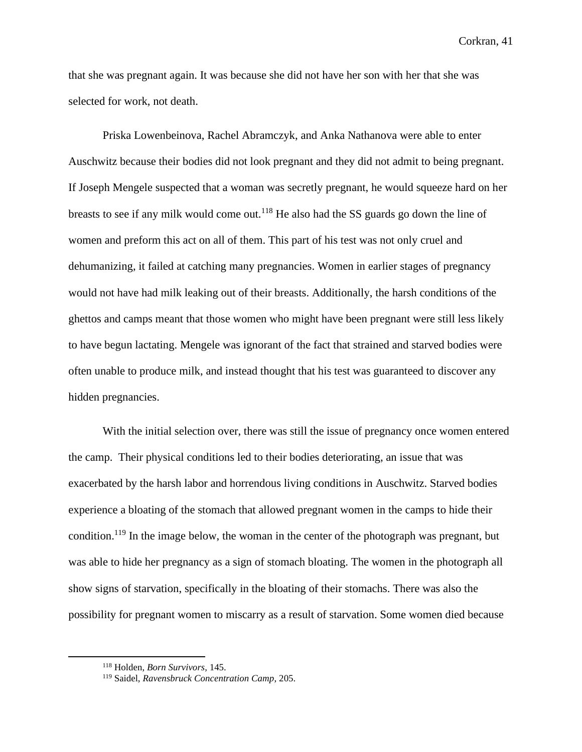that she was pregnant again. It was because she did not have her son with her that she was selected for work, not death.

Priska Lowenbeinova, Rachel Abramczyk, and Anka Nathanova were able to enter Auschwitz because their bodies did not look pregnant and they did not admit to being pregnant. If Joseph Mengele suspected that a woman was secretly pregnant, he would squeeze hard on her breasts to see if any milk would come out.<sup>118</sup> He also had the SS guards go down the line of women and preform this act on all of them. This part of his test was not only cruel and dehumanizing, it failed at catching many pregnancies. Women in earlier stages of pregnancy would not have had milk leaking out of their breasts. Additionally, the harsh conditions of the ghettos and camps meant that those women who might have been pregnant were still less likely to have begun lactating. Mengele was ignorant of the fact that strained and starved bodies were often unable to produce milk, and instead thought that his test was guaranteed to discover any hidden pregnancies.

With the initial selection over, there was still the issue of pregnancy once women entered the camp. Their physical conditions led to their bodies deteriorating, an issue that was exacerbated by the harsh labor and horrendous living conditions in Auschwitz. Starved bodies experience a bloating of the stomach that allowed pregnant women in the camps to hide their condition.<sup>119</sup> In the image below, the woman in the center of the photograph was pregnant, but was able to hide her pregnancy as a sign of stomach bloating. The women in the photograph all show signs of starvation, specifically in the bloating of their stomachs. There was also the possibility for pregnant women to miscarry as a result of starvation. Some women died because

<sup>118</sup> Holden, *Born Survivors,* 145.

<sup>119</sup> Saidel, *Ravensbruck Concentration Camp*, 205.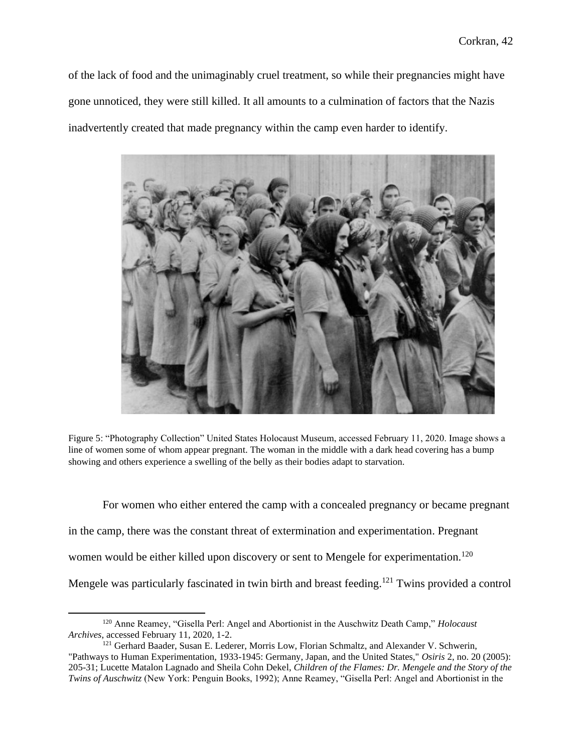of the lack of food and the unimaginably cruel treatment, so while their pregnancies might have gone unnoticed, they were still killed. It all amounts to a culmination of factors that the Nazis inadvertently created that made pregnancy within the camp even harder to identify.



Figure 5: "Photography Collection" United States Holocaust Museum, accessed February 11, 2020. Image shows a line of women some of whom appear pregnant. The woman in the middle with a dark head covering has a bump showing and others experience a swelling of the belly as their bodies adapt to starvation.

For women who either entered the camp with a concealed pregnancy or became pregnant in the camp, there was the constant threat of extermination and experimentation. Pregnant women would be either killed upon discovery or sent to Mengele for experimentation.<sup>120</sup> Mengele was particularly fascinated in twin birth and breast feeding.<sup>121</sup> Twins provided a control

<sup>120</sup> Anne Reamey, "Gisella Perl: Angel and Abortionist in the Auschwitz Death Camp," *Holocaust Archives*, accessed February 11, 2020, 1-2.

<sup>&</sup>lt;sup>121</sup> Gerhard Baader, Susan E. Lederer, Morris Low, Florian Schmaltz, and Alexander V. Schwerin, "Pathways to Human Experimentation, 1933-1945: Germany, Japan, and the United States," *Osiris* 2, no. 20 (2005): 205-31; Lucette Matalon Lagnado and Sheila Cohn Dekel, *Children of the Flames: Dr. Mengele and the Story of the Twins of Auschwitz* (New York: Penguin Books, 1992); Anne Reamey, "Gisella Perl: Angel and Abortionist in the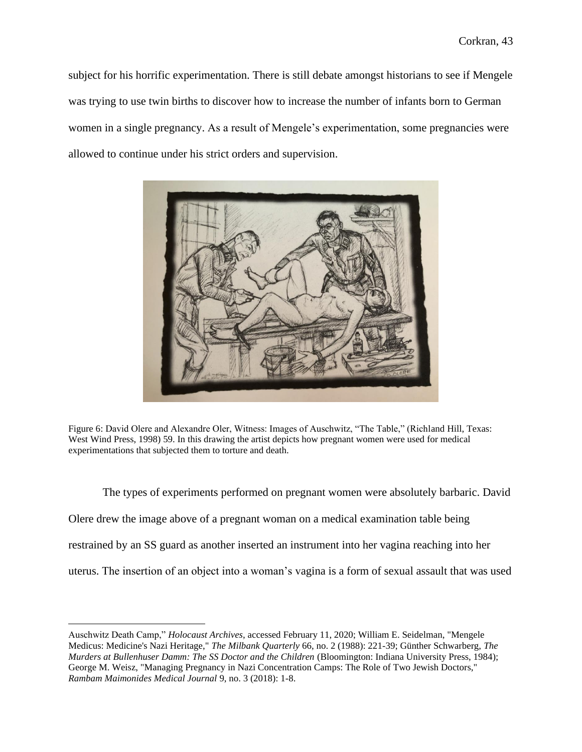subject for his horrific experimentation. There is still debate amongst historians to see if Mengele was trying to use twin births to discover how to increase the number of infants born to German women in a single pregnancy. As a result of Mengele's experimentation, some pregnancies were allowed to continue under his strict orders and supervision.



Figure 6: David Olere and Alexandre Oler, Witness: Images of Auschwitz, "The Table," (Richland Hill, Texas: West Wind Press, 1998) 59. In this drawing the artist depicts how pregnant women were used for medical experimentations that subjected them to torture and death.

The types of experiments performed on pregnant women were absolutely barbaric. David Olere drew the image above of a pregnant woman on a medical examination table being restrained by an SS guard as another inserted an instrument into her vagina reaching into her uterus. The insertion of an object into a woman's vagina is a form of sexual assault that was used

Auschwitz Death Camp," *Holocaust Archives*, accessed February 11, 2020; William E. Seidelman, "Mengele Medicus: Medicine's Nazi Heritage," *The Milbank Quarterly* 66, no. 2 (1988): 221-39; Günther Schwarberg, *The Murders at Bullenhuser Damm: The SS Doctor and the Children* (Bloomington: Indiana University Press, 1984); George M. Weisz, "Managing Pregnancy in Nazi Concentration Camps: The Role of Two Jewish Doctors," *Rambam Maimonides Medical Journal* 9, no. 3 (2018): 1-8.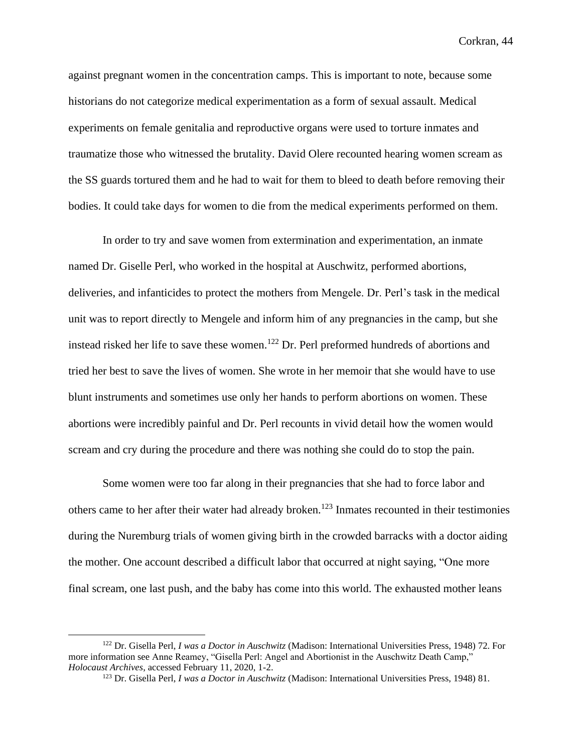against pregnant women in the concentration camps. This is important to note, because some historians do not categorize medical experimentation as a form of sexual assault. Medical experiments on female genitalia and reproductive organs were used to torture inmates and traumatize those who witnessed the brutality. David Olere recounted hearing women scream as the SS guards tortured them and he had to wait for them to bleed to death before removing their bodies. It could take days for women to die from the medical experiments performed on them.

In order to try and save women from extermination and experimentation, an inmate named Dr. Giselle Perl, who worked in the hospital at Auschwitz, performed abortions, deliveries, and infanticides to protect the mothers from Mengele. Dr. Perl's task in the medical unit was to report directly to Mengele and inform him of any pregnancies in the camp, but she instead risked her life to save these women.<sup>122</sup> Dr. Perl preformed hundreds of abortions and tried her best to save the lives of women. She wrote in her memoir that she would have to use blunt instruments and sometimes use only her hands to perform abortions on women. These abortions were incredibly painful and Dr. Perl recounts in vivid detail how the women would scream and cry during the procedure and there was nothing she could do to stop the pain.

Some women were too far along in their pregnancies that she had to force labor and others came to her after their water had already broken.<sup>123</sup> Inmates recounted in their testimonies during the Nuremburg trials of women giving birth in the crowded barracks with a doctor aiding the mother. One account described a difficult labor that occurred at night saying, "One more final scream, one last push, and the baby has come into this world. The exhausted mother leans

<sup>122</sup> Dr. Gisella Perl, *I was a Doctor in Auschwitz* (Madison: International Universities Press, 1948) 72. For more information see Anne Reamey, "Gisella Perl: Angel and Abortionist in the Auschwitz Death Camp," *Holocaust Archives*, accessed February 11, 2020, 1-2.

<sup>123</sup> Dr. Gisella Perl, *I was a Doctor in Auschwitz* (Madison: International Universities Press, 1948) 81.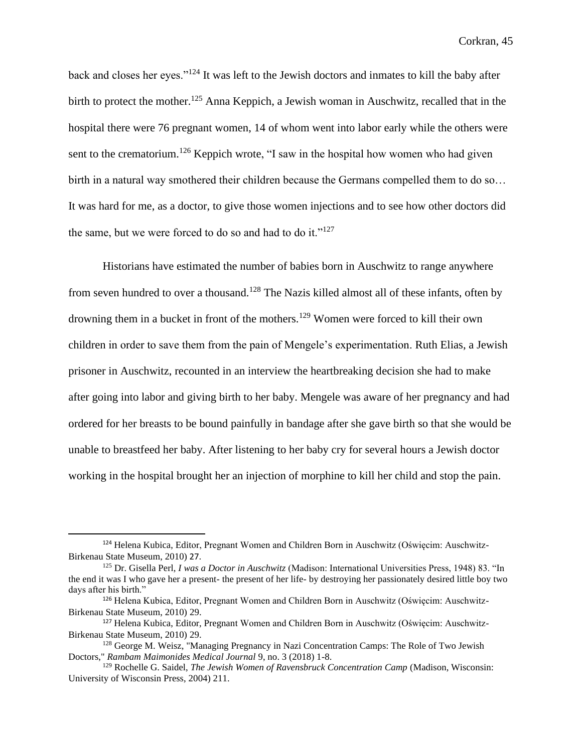back and closes her eyes."<sup>124</sup> It was left to the Jewish doctors and inmates to kill the baby after birth to protect the mother.<sup>125</sup> Anna Keppich, a Jewish woman in Auschwitz, recalled that in the hospital there were 76 pregnant women, 14 of whom went into labor early while the others were sent to the crematorium.<sup>126</sup> Keppich wrote, "I saw in the hospital how women who had given birth in a natural way smothered their children because the Germans compelled them to do so… It was hard for me, as a doctor, to give those women injections and to see how other doctors did the same, but we were forced to do so and had to do it." $127$ 

Historians have estimated the number of babies born in Auschwitz to range anywhere from seven hundred to over a thousand.<sup>128</sup> The Nazis killed almost all of these infants, often by drowning them in a bucket in front of the mothers.<sup>129</sup> Women were forced to kill their own children in order to save them from the pain of Mengele's experimentation. Ruth Elias, a Jewish prisoner in Auschwitz, recounted in an interview the heartbreaking decision she had to make after going into labor and giving birth to her baby. Mengele was aware of her pregnancy and had ordered for her breasts to be bound painfully in bandage after she gave birth so that she would be unable to breastfeed her baby. After listening to her baby cry for several hours a Jewish doctor working in the hospital brought her an injection of morphine to kill her child and stop the pain.

<sup>124</sup> Helena Kubica, Editor, Pregnant Women and Children Born in Auschwitz (Oświęcim: Auschwitz-Birkenau State Museum, 2010) 27.

<sup>125</sup> Dr. Gisella Perl, *I was a Doctor in Auschwitz* (Madison: International Universities Press, 1948) 83. "In the end it was I who gave her a present- the present of her life- by destroying her passionately desired little boy two days after his birth."

<sup>126</sup> Helena Kubica, Editor, Pregnant Women and Children Born in Auschwitz (Oświęcim: Auschwitz-Birkenau State Museum, 2010) 29.

<sup>127</sup> Helena Kubica, Editor, Pregnant Women and Children Born in Auschwitz (Oświęcim: Auschwitz-Birkenau State Museum, 2010) 29.

<sup>&</sup>lt;sup>128</sup> George M. Weisz, "Managing Pregnancy in Nazi Concentration Camps: The Role of Two Jewish Doctors," *Rambam Maimonides Medical Journal* 9, no. 3 (2018) 1-8.

<sup>129</sup> Rochelle G. Saidel, *The Jewish Women of Ravensbruck Concentration Camp* (Madison, Wisconsin: University of Wisconsin Press, 2004) 211.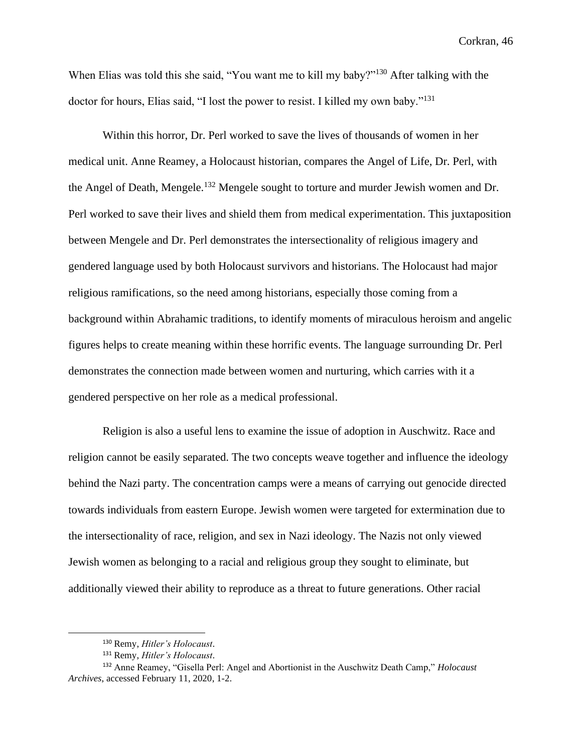When Elias was told this she said, "You want me to kill my baby?"<sup>130</sup> After talking with the doctor for hours, Elias said, "I lost the power to resist. I killed my own baby."<sup>131</sup>

Within this horror, Dr. Perl worked to save the lives of thousands of women in her medical unit. Anne Reamey, a Holocaust historian, compares the Angel of Life, Dr. Perl, with the Angel of Death, Mengele.<sup>132</sup> Mengele sought to torture and murder Jewish women and Dr. Perl worked to save their lives and shield them from medical experimentation. This juxtaposition between Mengele and Dr. Perl demonstrates the intersectionality of religious imagery and gendered language used by both Holocaust survivors and historians. The Holocaust had major religious ramifications, so the need among historians, especially those coming from a background within Abrahamic traditions, to identify moments of miraculous heroism and angelic figures helps to create meaning within these horrific events. The language surrounding Dr. Perl demonstrates the connection made between women and nurturing, which carries with it a gendered perspective on her role as a medical professional.

Religion is also a useful lens to examine the issue of adoption in Auschwitz. Race and religion cannot be easily separated. The two concepts weave together and influence the ideology behind the Nazi party. The concentration camps were a means of carrying out genocide directed towards individuals from eastern Europe. Jewish women were targeted for extermination due to the intersectionality of race, religion, and sex in Nazi ideology. The Nazis not only viewed Jewish women as belonging to a racial and religious group they sought to eliminate, but additionally viewed their ability to reproduce as a threat to future generations. Other racial

<sup>130</sup> Remy, *Hitler's Holocaust*.

<sup>131</sup> Remy, *Hitler's Holocaust*.

<sup>132</sup> Anne Reamey, "Gisella Perl: Angel and Abortionist in the Auschwitz Death Camp," *Holocaust Archives*, accessed February 11, 2020, 1-2.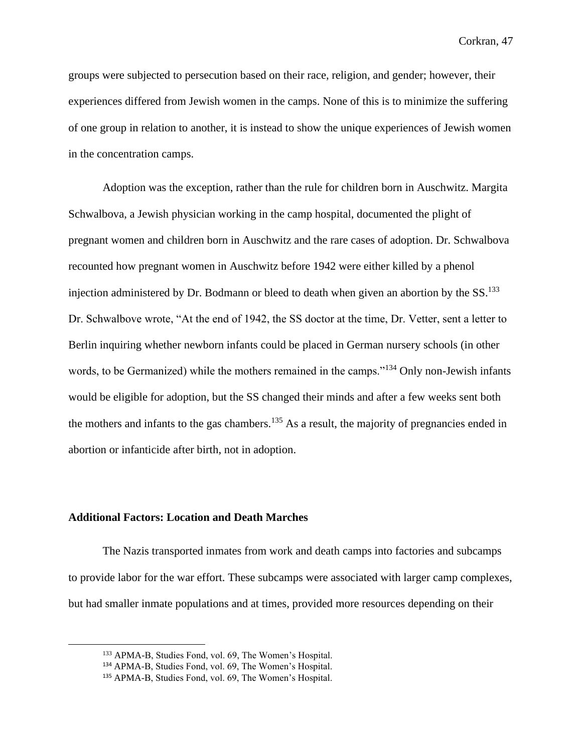groups were subjected to persecution based on their race, religion, and gender; however, their experiences differed from Jewish women in the camps. None of this is to minimize the suffering of one group in relation to another, it is instead to show the unique experiences of Jewish women in the concentration camps.

Adoption was the exception, rather than the rule for children born in Auschwitz. Margita Schwalbova, a Jewish physician working in the camp hospital, documented the plight of pregnant women and children born in Auschwitz and the rare cases of adoption. Dr. Schwalbova recounted how pregnant women in Auschwitz before 1942 were either killed by a phenol injection administered by Dr. Bodmann or bleed to death when given an abortion by the  $SS$ .<sup>133</sup> Dr. Schwalbove wrote, "At the end of 1942, the SS doctor at the time, Dr. Vetter, sent a letter to Berlin inquiring whether newborn infants could be placed in German nursery schools (in other words, to be Germanized) while the mothers remained in the camps."<sup>134</sup> Only non-Jewish infants would be eligible for adoption, but the SS changed their minds and after a few weeks sent both the mothers and infants to the gas chambers.<sup>135</sup> As a result, the majority of pregnancies ended in abortion or infanticide after birth, not in adoption.

## **Additional Factors: Location and Death Marches**

The Nazis transported inmates from work and death camps into factories and subcamps to provide labor for the war effort. These subcamps were associated with larger camp complexes, but had smaller inmate populations and at times, provided more resources depending on their

<sup>133</sup> APMA-B, Studies Fond, vol. 69, The Women's Hospital.

<sup>134</sup> APMA-B, Studies Fond, vol. 69, The Women's Hospital.

<sup>135</sup> APMA-B, Studies Fond, vol. 69, The Women's Hospital.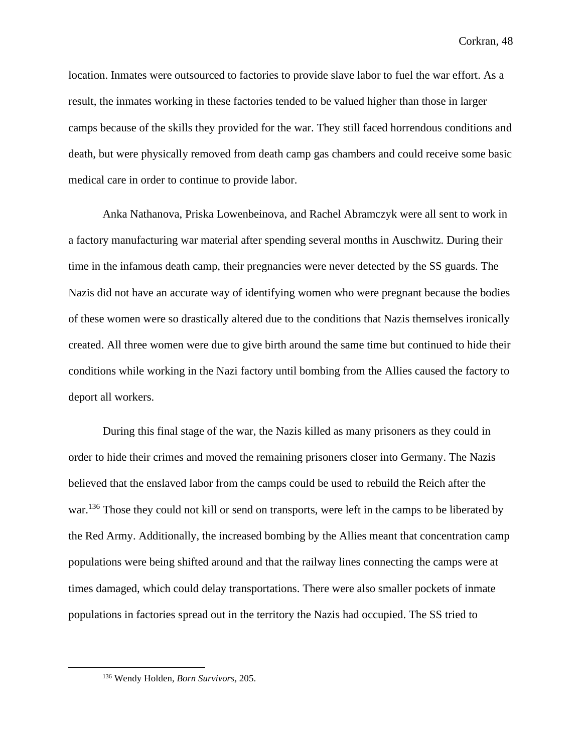location. Inmates were outsourced to factories to provide slave labor to fuel the war effort. As a result, the inmates working in these factories tended to be valued higher than those in larger camps because of the skills they provided for the war. They still faced horrendous conditions and death, but were physically removed from death camp gas chambers and could receive some basic medical care in order to continue to provide labor.

Anka Nathanova, Priska Lowenbeinova, and Rachel Abramczyk were all sent to work in a factory manufacturing war material after spending several months in Auschwitz. During their time in the infamous death camp, their pregnancies were never detected by the SS guards. The Nazis did not have an accurate way of identifying women who were pregnant because the bodies of these women were so drastically altered due to the conditions that Nazis themselves ironically created. All three women were due to give birth around the same time but continued to hide their conditions while working in the Nazi factory until bombing from the Allies caused the factory to deport all workers.

During this final stage of the war, the Nazis killed as many prisoners as they could in order to hide their crimes and moved the remaining prisoners closer into Germany. The Nazis believed that the enslaved labor from the camps could be used to rebuild the Reich after the war.<sup>136</sup> Those they could not kill or send on transports, were left in the camps to be liberated by the Red Army. Additionally, the increased bombing by the Allies meant that concentration camp populations were being shifted around and that the railway lines connecting the camps were at times damaged, which could delay transportations. There were also smaller pockets of inmate populations in factories spread out in the territory the Nazis had occupied. The SS tried to

<sup>136</sup> Wendy Holden, *Born Survivors,* 205.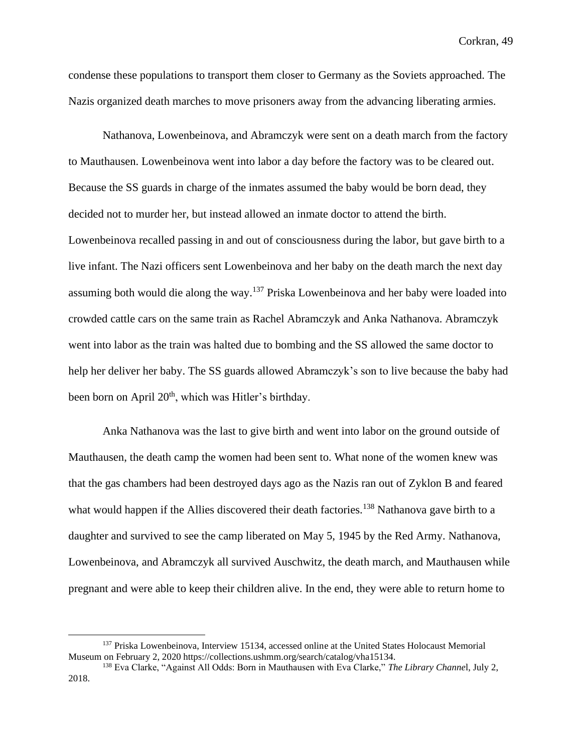condense these populations to transport them closer to Germany as the Soviets approached. The Nazis organized death marches to move prisoners away from the advancing liberating armies.

Nathanova, Lowenbeinova, and Abramczyk were sent on a death march from the factory to Mauthausen. Lowenbeinova went into labor a day before the factory was to be cleared out. Because the SS guards in charge of the inmates assumed the baby would be born dead, they decided not to murder her, but instead allowed an inmate doctor to attend the birth. Lowenbeinova recalled passing in and out of consciousness during the labor, but gave birth to a live infant. The Nazi officers sent Lowenbeinova and her baby on the death march the next day assuming both would die along the way.<sup>137</sup> Priska Lowenbeinova and her baby were loaded into crowded cattle cars on the same train as Rachel Abramczyk and Anka Nathanova. Abramczyk went into labor as the train was halted due to bombing and the SS allowed the same doctor to help her deliver her baby. The SS guards allowed Abramczyk's son to live because the baby had been born on April 20<sup>th</sup>, which was Hitler's birthday.

Anka Nathanova was the last to give birth and went into labor on the ground outside of Mauthausen, the death camp the women had been sent to. What none of the women knew was that the gas chambers had been destroyed days ago as the Nazis ran out of Zyklon B and feared what would happen if the Allies discovered their death factories.<sup>138</sup> Nathanova gave birth to a daughter and survived to see the camp liberated on May 5, 1945 by the Red Army. Nathanova, Lowenbeinova, and Abramczyk all survived Auschwitz, the death march, and Mauthausen while pregnant and were able to keep their children alive. In the end, they were able to return home to

<sup>&</sup>lt;sup>137</sup> Priska Lowenbeinova, Interview 15134, accessed online at the United States Holocaust Memorial Museum on February 2, 2020 https://collections.ushmm.org/search/catalog/vha15134.

<sup>138</sup> Eva Clarke, "Against All Odds: Born in Mauthausen with Eva Clarke," *The Library Channe*l, July 2, 2018.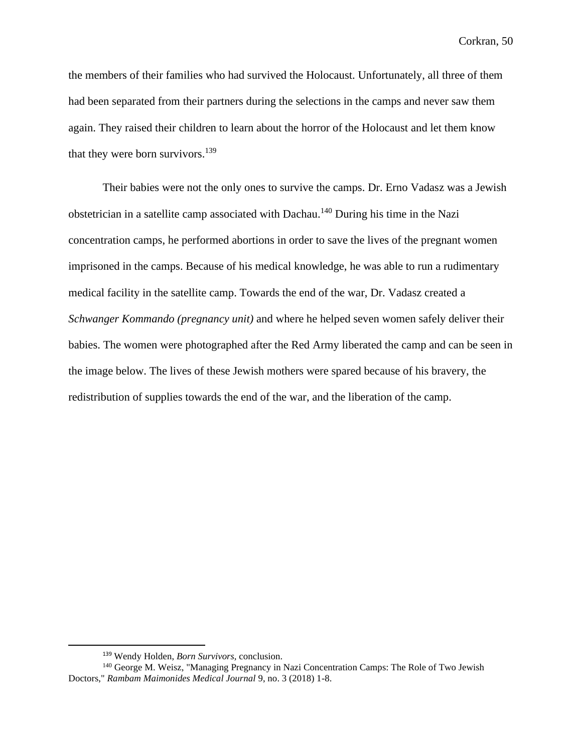the members of their families who had survived the Holocaust. Unfortunately, all three of them had been separated from their partners during the selections in the camps and never saw them again. They raised their children to learn about the horror of the Holocaust and let them know that they were born survivors.<sup>139</sup>

Their babies were not the only ones to survive the camps. Dr. Erno Vadasz was a Jewish obstetrician in a satellite camp associated with Dachau.<sup>140</sup> During his time in the Nazi concentration camps, he performed abortions in order to save the lives of the pregnant women imprisoned in the camps. Because of his medical knowledge, he was able to run a rudimentary medical facility in the satellite camp. Towards the end of the war, Dr. Vadasz created a *Schwanger Kommando (pregnancy unit)* and where he helped seven women safely deliver their babies. The women were photographed after the Red Army liberated the camp and can be seen in the image below. The lives of these Jewish mothers were spared because of his bravery, the redistribution of supplies towards the end of the war, and the liberation of the camp.

<sup>139</sup> Wendy Holden, *Born Survivors,* conclusion.

<sup>&</sup>lt;sup>140</sup> George M. Weisz, "Managing Pregnancy in Nazi Concentration Camps: The Role of Two Jewish Doctors," *Rambam Maimonides Medical Journal* 9, no. 3 (2018) 1-8.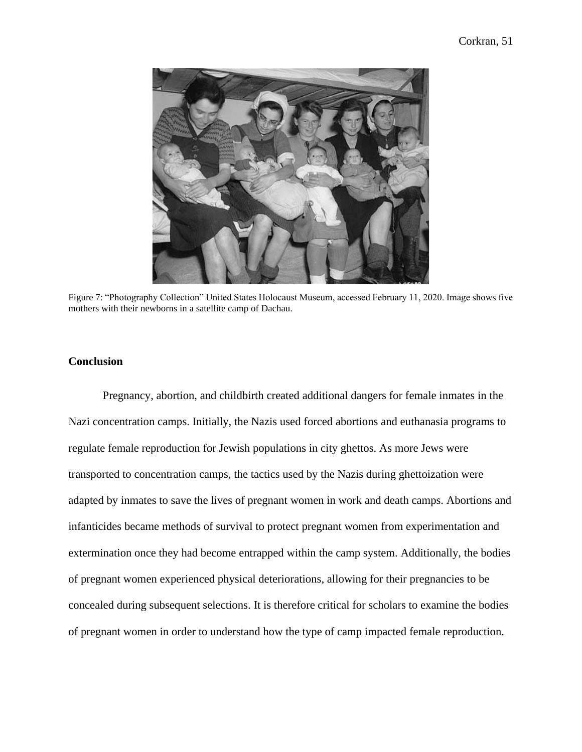

Figure 7: "Photography Collection" United States Holocaust Museum, accessed February 11, 2020. Image shows five mothers with their newborns in a satellite camp of Dachau.

# **Conclusion**

Pregnancy, abortion, and childbirth created additional dangers for female inmates in the Nazi concentration camps. Initially, the Nazis used forced abortions and euthanasia programs to regulate female reproduction for Jewish populations in city ghettos. As more Jews were transported to concentration camps, the tactics used by the Nazis during ghettoization were adapted by inmates to save the lives of pregnant women in work and death camps. Abortions and infanticides became methods of survival to protect pregnant women from experimentation and extermination once they had become entrapped within the camp system. Additionally, the bodies of pregnant women experienced physical deteriorations, allowing for their pregnancies to be concealed during subsequent selections. It is therefore critical for scholars to examine the bodies of pregnant women in order to understand how the type of camp impacted female reproduction.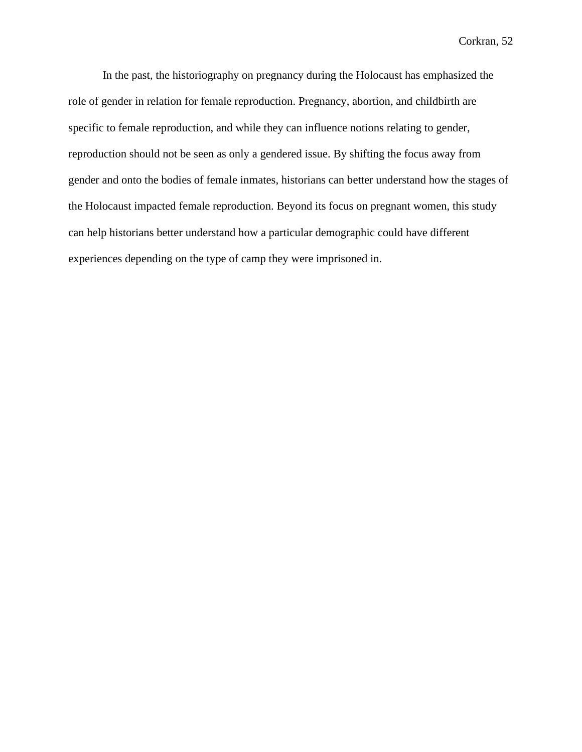In the past, the historiography on pregnancy during the Holocaust has emphasized the role of gender in relation for female reproduction. Pregnancy, abortion, and childbirth are specific to female reproduction, and while they can influence notions relating to gender, reproduction should not be seen as only a gendered issue. By shifting the focus away from gender and onto the bodies of female inmates, historians can better understand how the stages of the Holocaust impacted female reproduction. Beyond its focus on pregnant women, this study can help historians better understand how a particular demographic could have different experiences depending on the type of camp they were imprisoned in.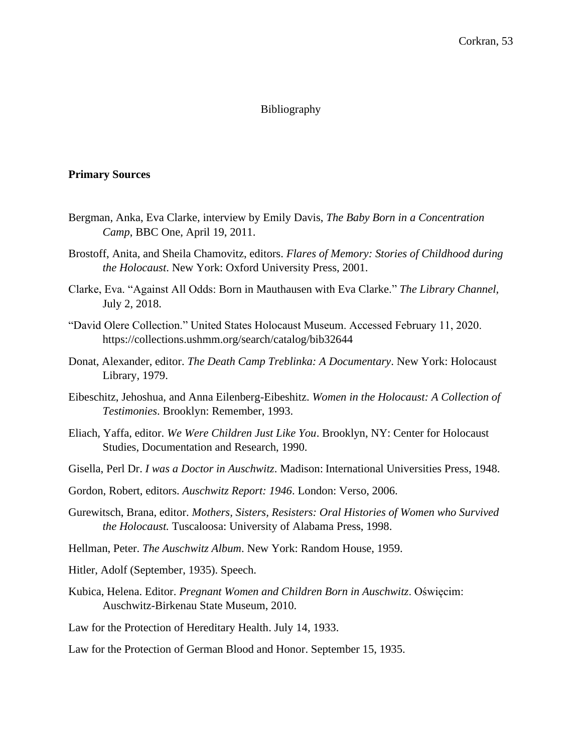#### Bibliography

## **Primary Sources**

- Bergman, Anka, Eva Clarke, interview by Emily Davis, *The Baby Born in a Concentration Camp*, BBC One, April 19, 2011.
- Brostoff, Anita, and Sheila Chamovitz, editors. *Flares of Memory: Stories of Childhood during the Holocaust*. New York: Oxford University Press, 2001.
- Clarke, Eva. "Against All Odds: Born in Mauthausen with Eva Clarke." *The Library Channel,* July 2, 2018.
- "David Olere Collection." United States Holocaust Museum. Accessed February 11, 2020. https://collections.ushmm.org/search/catalog/bib32644
- Donat, Alexander, editor. *The Death Camp Treblinka: A Documentary*. New York: Holocaust Library, 1979.
- Eibeschitz, Jehoshua, and Anna Eilenberg-Eibeshitz. *Women in the Holocaust: A Collection of Testimonies*. Brooklyn: Remember, 1993.
- Eliach, Yaffa, editor. *We Were Children Just Like You*. Brooklyn, NY: Center for Holocaust Studies, Documentation and Research, 1990.
- Gisella, Perl Dr. *I was a Doctor in Auschwitz*. Madison: International Universities Press, 1948.
- Gordon, Robert, editors. *Auschwitz Report: 1946*. London: Verso, 2006.
- Gurewitsch, Brana, editor. *Mothers, Sisters, Resisters: Oral Histories of Women who Survived the Holocaust.* Tuscaloosa: University of Alabama Press, 1998.
- Hellman, Peter. *The Auschwitz Album*. New York: Random House, 1959.
- Hitler, Adolf (September, 1935). Speech.
- Kubica, Helena. Editor. *Pregnant Women and Children Born in Auschwitz*. Oświęcim: Auschwitz-Birkenau State Museum, 2010.
- Law for the Protection of Hereditary Health. July 14, 1933.
- Law for the Protection of German Blood and Honor. September 15, 1935.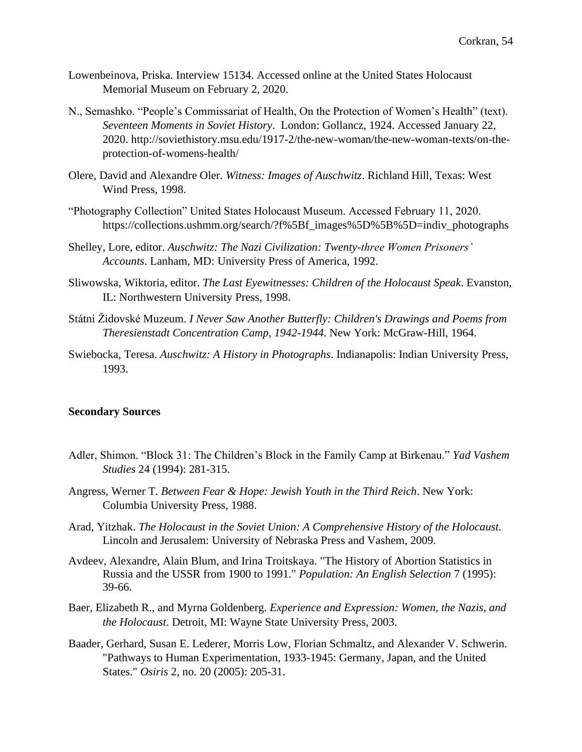- Lowenbeinova, Priska. Interview 15134. Accessed online at the United States Holocaust Memorial Museum on February 2, 2020.
- N., Semashko. "People's Commissariat of Health, On the Protection of Women's Health" (text). *Seventeen Moments in Soviet History*. London: Gollancz, 1924. Accessed January 22, 2020. http://soviethistory.msu.edu/1917-2/the-new-woman/the-new-woman-texts/on-theprotection-of-womens-health/
- Olere, David and Alexandre Oler. *Witness: Images of Auschwitz*. Richland Hill, Texas: West Wind Press, 1998.
- "Photography Collection" United States Holocaust Museum. Accessed February 11, 2020. https://collections.ushmm.org/search/?f%5Bf\_images%5D%5B%5D=indiv\_photographs
- Shelley, Lore, editor. *Auschwitz: The Nazi Civilization: Twenty-three Women Prisoners' Accounts*. Lanham, MD: University Press of America, 1992.
- Sliwowska, Wiktoria, editor. *The Last Eyewitnesses: Children of the Holocaust Speak*. Evanston, IL: Northwestern University Press, 1998.
- Státní Židovské Muzeum. *I Never Saw Another Butterfly: Children's Drawings and Poems from Theresienstadt Concentration Camp, 1942-1944*. New York: McGraw-Hill, 1964.
- Swiebocka, Teresa. *Auschwitz: A History in Photographs*. Indianapolis: Indian University Press, 1993.

#### **Secondary Sources**

- Adler, Shimon. "Block 31: The Children's Block in the Family Camp at Birkenau." *Yad Vashem Studies* 24 (1994): 281-315.
- Angress, Werner T*. Between Fear & Hope: Jewish Youth in the Third Reich*. New York: Columbia University Press, 1988.
- Arad, Yitzhak. *The Holocaust in the Soviet Union: A Comprehensive History of the Holocaust.* Lincoln and Jerusalem: University of Nebraska Press and Vashem, 2009.
- Avdeev, Alexandre, Alain Blum, and Irina Troitskaya. "The History of Abortion Statistics in Russia and the USSR from 1900 to 1991." *Population: An English Selection* 7 (1995): 39-66.
- Baer, Elizabeth R., and Myrna Goldenberg. *Experience and Expression: Women, the Nazis, and the Holocaust*. Detroit, MI: Wayne State University Press, 2003.
- Baader, Gerhard, Susan E. Lederer, Morris Low, Florian Schmaltz, and Alexander V. Schwerin. "Pathways to Human Experimentation, 1933-1945: Germany, Japan, and the United States." *Osiris* 2, no. 20 (2005): 205-31.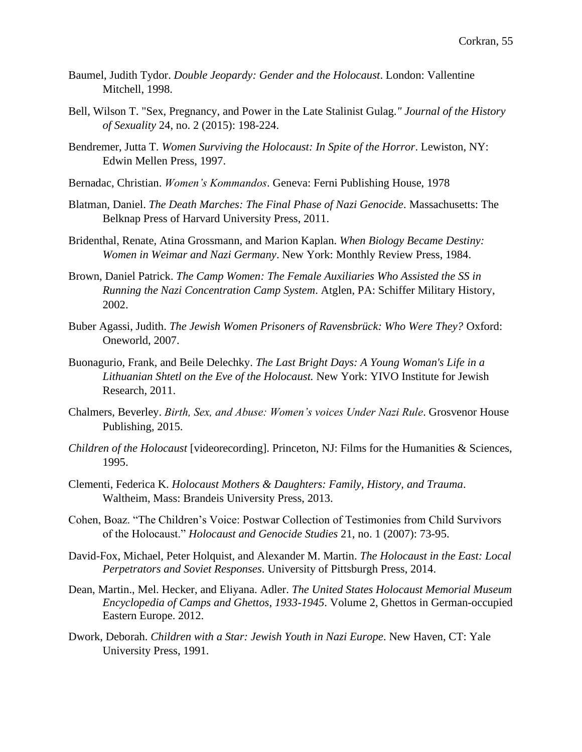- Baumel, Judith Tydor. *Double Jeopardy: Gender and the Holocaust*. London: Vallentine Mitchell, 1998.
- Bell, Wilson T. "Sex, Pregnancy, and Power in the Late Stalinist Gulag*." Journal of the History of Sexuality* 24, no. 2 (2015): 198-224.
- Bendremer, Jutta T. *Women Surviving the Holocaust: In Spite of the Horror*. Lewiston, NY: Edwin Mellen Press, 1997.
- Bernadac, Christian. *Women's Kommandos*. Geneva: Ferni Publishing House, 1978
- Blatman, Daniel. *The Death Marches: The Final Phase of Nazi Genocide*. Massachusetts: The Belknap Press of Harvard University Press, 2011.
- Bridenthal, Renate, Atina Grossmann, and Marion Kaplan. *When Biology Became Destiny: Women in Weimar and Nazi Germany*. New York: Monthly Review Press, 1984.
- Brown, Daniel Patrick. *The Camp Women: The Female Auxiliaries Who Assisted the SS in Running the Nazi Concentration Camp System*. Atglen, PA: Schiffer Military History, 2002.
- Buber Agassi, Judith. *The Jewish Women Prisoners of Ravensbrück: Who Were They?* Oxford: Oneworld, 2007.
- Buonagurio, Frank, and Beile Delechky. *The Last Bright Days: A Young Woman's Life in a Lithuanian Shtetl on the Eve of the Holocaust.* New York: YIVO Institute for Jewish Research, 2011.
- Chalmers, Beverley. *Birth, Sex, and Abuse: Women's voices Under Nazi Rule*. Grosvenor House Publishing, 2015.
- *Children of the Holocaust* [videorecording]. Princeton, NJ: Films for the Humanities & Sciences, 1995.
- Clementi, Federica K. *Holocaust Mothers & Daughters: Family, History, and Trauma*. Waltheim, Mass: Brandeis University Press, 2013.
- Cohen, Boaz. "The Children's Voice: Postwar Collection of Testimonies from Child Survivors of the Holocaust." *Holocaust and Genocide Studies* 21, no. 1 (2007): 73-95.
- David-Fox, Michael, Peter Holquist, and Alexander M. Martin. *The Holocaust in the East: Local Perpetrators and Soviet Responses*. University of Pittsburgh Press, 2014.
- Dean, Martin., Mel. Hecker, and Eliyana. Adler. *The United States Holocaust Memorial Museum Encyclopedia of Camps and Ghettos, 1933-1945*. Volume 2, Ghettos in German-occupied Eastern Europe. 2012.
- Dwork, Deborah. *Children with a Star: Jewish Youth in Nazi Europe*. New Haven, CT: Yale University Press, 1991.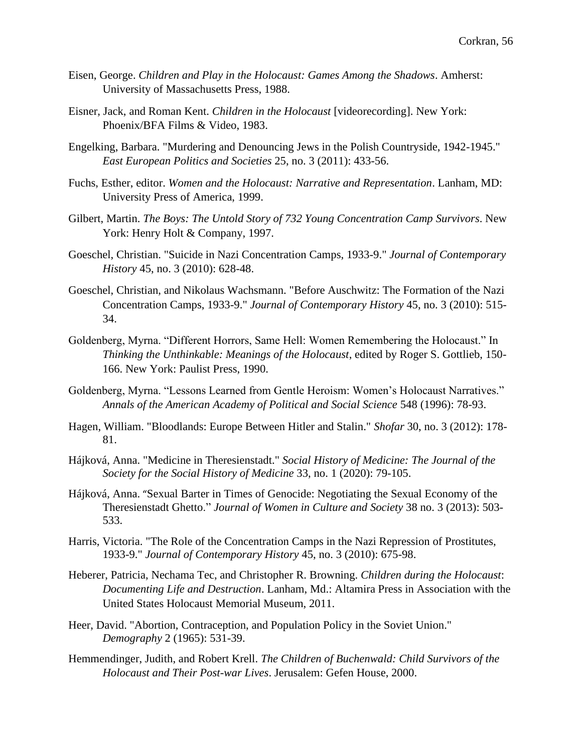- Eisen, George. *Children and Play in the Holocaust: Games Among the Shadows*. Amherst: University of Massachusetts Press, 1988.
- Eisner, Jack, and Roman Kent. *Children in the Holocaust* [videorecording]. New York: Phoenix/BFA Films & Video, 1983.
- Engelking, Barbara. "Murdering and Denouncing Jews in the Polish Countryside, 1942-1945." *East European Politics and Societies* 25, no. 3 (2011): 433-56.
- Fuchs, Esther, editor. *Women and the Holocaust: Narrative and Representation*. Lanham, MD: University Press of America, 1999.
- Gilbert, Martin. *The Boys: The Untold Story of 732 Young Concentration Camp Survivors*. New York: Henry Holt & Company, 1997.
- Goeschel, Christian. "Suicide in Nazi Concentration Camps, 1933-9." *Journal of Contemporary History* 45, no. 3 (2010): 628-48.
- Goeschel, Christian, and Nikolaus Wachsmann. "Before Auschwitz: The Formation of the Nazi Concentration Camps, 1933-9." *Journal of Contemporary History* 45, no. 3 (2010): 515- 34.
- Goldenberg, Myrna. "Different Horrors, Same Hell: Women Remembering the Holocaust." In *Thinking the Unthinkable: Meanings of the Holocaust*, edited by Roger S. Gottlieb, 150- 166. New York: Paulist Press, 1990.
- Goldenberg, Myrna. "Lessons Learned from Gentle Heroism: Women's Holocaust Narratives." *Annals of the American Academy of Political and Social Science* 548 (1996): 78-93.
- Hagen, William. "Bloodlands: Europe Between Hitler and Stalin." *Shofar* 30, no. 3 (2012): 178- 81.
- Hájková, Anna. "Medicine in Theresienstadt." *Social History of Medicine: The Journal of the Society for the Social History of Medicine* 33, no. 1 (2020): 79-105.
- Hájková, Anna. "Sexual Barter in Times of Genocide: Negotiating the Sexual Economy of the Theresienstadt Ghetto." *Journal of Women in Culture and Society* 38 no. 3 (2013): 503- 533.
- Harris, Victoria. "The Role of the Concentration Camps in the Nazi Repression of Prostitutes, 1933-9." *Journal of Contemporary History* 45, no. 3 (2010): 675-98.
- Heberer, Patricia, Nechama Tec, and Christopher R. Browning. *Children during the Holocaust*: *Documenting Life and Destruction*. Lanham, Md.: Altamira Press in Association with the United States Holocaust Memorial Museum, 2011.
- Heer, David. "Abortion, Contraception, and Population Policy in the Soviet Union." *Demography* 2 (1965): 531-39.
- Hemmendinger, Judith, and Robert Krell. *The Children of Buchenwald: Child Survivors of the Holocaust and Their Post-war Lives*. Jerusalem: Gefen House, 2000.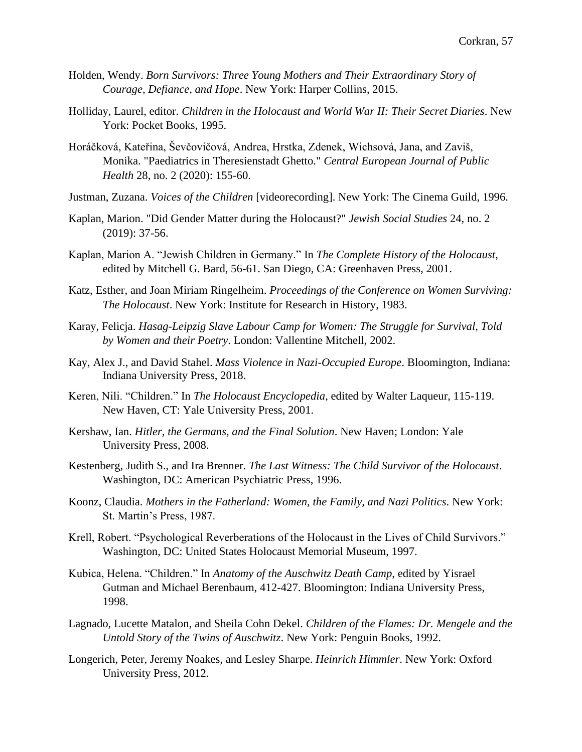- Holden, Wendy. *Born Survivors: Three Young Mothers and Their Extraordinary Story of Courage, Defiance, and Hope*. New York: Harper Collins, 2015.
- Holliday, Laurel, editor. *Children in the Holocaust and World War II: Their Secret Diaries*. New York: Pocket Books, 1995.
- Horáčková, Kateřina, Ševčovičová, Andrea, Hrstka, Zdenek, Wichsová, Jana, and Zaviš, Monika. "Paediatrics in Theresienstadt Ghetto." *Central European Journal of Public Health* 28, no. 2 (2020): 155-60.
- Justman, Zuzana. *Voices of the Children* [videorecording]. New York: The Cinema Guild, 1996.
- Kaplan, Marion. "Did Gender Matter during the Holocaust?" *Jewish Social Studies* 24, no. 2 (2019): 37-56.
- Kaplan, Marion A. "Jewish Children in Germany." In *The Complete History of the Holocaust*, edited by Mitchell G. Bard, 56-61. San Diego, CA: Greenhaven Press, 2001.
- Katz, Esther, and Joan Miriam Ringelheim. *Proceedings of the Conference on Women Surviving: The Holocaust*. New York: Institute for Research in History, 1983.
- Karay, Felicja. *Hasag-Leipzig Slave Labour Camp for Women: The Struggle for Survival, Told by Women and their Poetry*. London: Vallentine Mitchell, 2002.
- Kay, Alex J., and David Stahel. *Mass Violence in Nazi-Occupied Europe*. Bloomington, Indiana: Indiana University Press, 2018.
- Keren, Nili. "Children." In *The Holocaust Encyclopedia*, edited by Walter Laqueur, 115-119. New Haven, CT: Yale University Press, 2001.
- Kershaw, Ian. *Hitler, the Germans, and the Final Solution*. New Haven; London: Yale University Press, 2008.
- Kestenberg, Judith S., and Ira Brenner. *The Last Witness: The Child Survivor of the Holocaust*. Washington, DC: American Psychiatric Press, 1996.
- Koonz, Claudia. *Mothers in the Fatherland: Women, the Family, and Nazi Politics*. New York: St. Martin's Press, 1987.
- Krell, Robert. "Psychological Reverberations of the Holocaust in the Lives of Child Survivors." Washington, DC: United States Holocaust Memorial Museum, 1997.
- Kubica, Helena. "Children." In *Anatomy of the Auschwitz Death Camp*, edited by Yisrael Gutman and Michael Berenbaum, 412-427. Bloomington: Indiana University Press, 1998.
- Lagnado, Lucette Matalon, and Sheila Cohn Dekel. *Children of the Flames: Dr. Mengele and the Untold Story of the Twins of Auschwitz*. New York: Penguin Books, 1992.
- Longerich, Peter, Jeremy Noakes, and Lesley Sharpe. *Heinrich Himmler*. New York: Oxford University Press, 2012.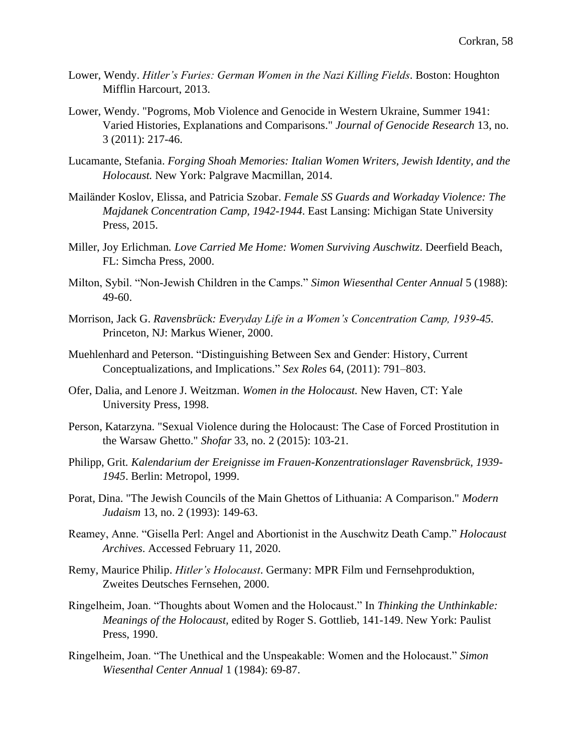- Lower, Wendy. *Hitler's Furies: German Women in the Nazi Killing Fields*. Boston: Houghton Mifflin Harcourt, 2013.
- Lower, Wendy. "Pogroms, Mob Violence and Genocide in Western Ukraine, Summer 1941: Varied Histories, Explanations and Comparisons." *Journal of Genocide Research* 13, no. 3 (2011): 217-46.
- Lucamante, Stefania. *Forging Shoah Memories: Italian Women Writers, Jewish Identity, and the Holocaust.* New York: Palgrave Macmillan, 2014.
- Mailänder Koslov, Elissa, and Patricia Szobar. *Female SS Guards and Workaday Violence: The Majdanek Concentration Camp, 1942-1944*. East Lansing: Michigan State University Press, 2015.
- Miller, Joy Erlichman*. Love Carried Me Home: Women Surviving Auschwitz*. Deerfield Beach, FL: Simcha Press, 2000.
- Milton, Sybil. "Non-Jewish Children in the Camps." *Simon Wiesenthal Center Annual* 5 (1988): 49-60.
- Morrison, Jack G. *Ravensbrück: Everyday Life in a Women's Concentration Camp, 1939-45.* Princeton, NJ: Markus Wiener, 2000.
- Muehlenhard and Peterson. "Distinguishing Between Sex and Gender: History, Current Conceptualizations, and Implications." *Sex Roles* 64, (2011): 791–803.
- Ofer, Dalia, and Lenore J. Weitzman. *Women in the Holocaust.* New Haven, CT: Yale University Press, 1998.
- Person, Katarzyna. "Sexual Violence during the Holocaust: The Case of Forced Prostitution in the Warsaw Ghetto." *Shofar* 33, no. 2 (2015): 103-21.
- Philipp, Grit*. Kalendarium der Ereignisse im Frauen-Konzentrationslager Ravensbrück, 1939- 1945*. Berlin: Metropol, 1999.
- Porat, Dina. "The Jewish Councils of the Main Ghettos of Lithuania: A Comparison." *Modern Judaism* 13, no. 2 (1993): 149-63.
- Reamey, Anne. "Gisella Perl: Angel and Abortionist in the Auschwitz Death Camp." *Holocaust Archives*. Accessed February 11, 2020.
- Remy, Maurice Philip. *Hitler's Holocaust*. Germany: MPR Film und Fernsehproduktion, Zweites Deutsches Fernsehen, 2000.
- Ringelheim, Joan. "Thoughts about Women and the Holocaust." In *Thinking the Unthinkable: Meanings of the Holocaust,* edited by Roger S. Gottlieb, 141-149. New York: Paulist Press, 1990.
- Ringelheim, Joan. "The Unethical and the Unspeakable: Women and the Holocaust." *Simon Wiesenthal Center Annual* 1 (1984): 69-87.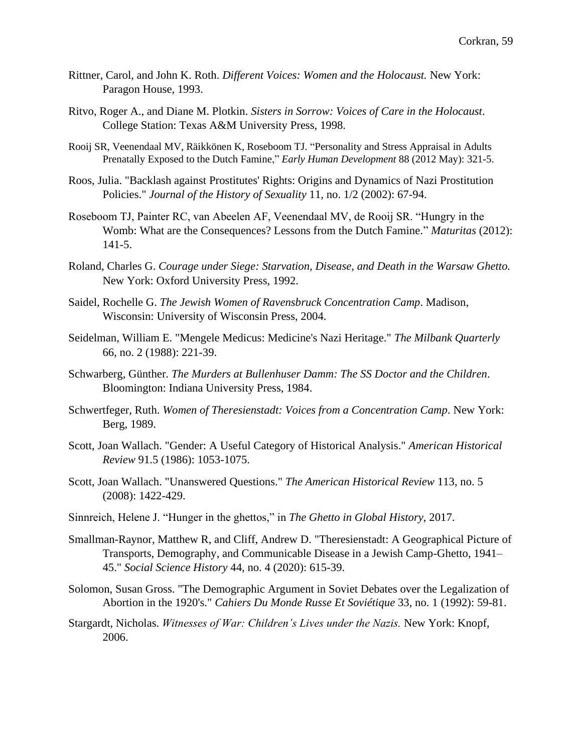- Rittner, Carol, and John K. Roth. *Different Voices: Women and the Holocaust.* New York: Paragon House, 1993.
- Ritvo, Roger A., and Diane M. Plotkin. *Sisters in Sorrow: Voices of Care in the Holocaust*. College Station: Texas A&M University Press, 1998.
- Rooij SR, Veenendaal MV, Räikkönen K, Roseboom TJ. "Personality and Stress Appraisal in Adults Prenatally Exposed to the Dutch Famine," *Early Human Development* 88 (2012 May): 321-5.
- Roos, Julia. "Backlash against Prostitutes' Rights: Origins and Dynamics of Nazi Prostitution Policies." *Journal of the History of Sexuality* 11, no. 1/2 (2002): 67-94.
- Roseboom TJ, Painter RC, van Abeelen AF, Veenendaal MV, de Rooij SR. "Hungry in the Womb: What are the Consequences? Lessons from the Dutch Famine." *Maturitas* (2012): 141-5.
- Roland, Charles G. *Courage under Siege: Starvation, Disease, and Death in the Warsaw Ghetto.* New York: Oxford University Press, 1992.
- Saidel, Rochelle G. *The Jewish Women of Ravensbruck Concentration Camp*. Madison, Wisconsin: University of Wisconsin Press, 2004.
- Seidelman, William E. "Mengele Medicus: Medicine's Nazi Heritage." *The Milbank Quarterly*  66, no. 2 (1988): 221-39.
- Schwarberg, Günther. *The Murders at Bullenhuser Damm: The SS Doctor and the Children*. Bloomington: Indiana University Press, 1984.
- Schwertfeger, Ruth. *Women of Theresienstadt: Voices from a Concentration Camp*. New York: Berg, 1989.
- Scott, Joan Wallach. "Gender: A Useful Category of Historical Analysis." *American Historical Review* 91.5 (1986): 1053-1075.
- Scott, Joan Wallach. "Unanswered Questions." *The American Historical Review* 113, no. 5 (2008): 1422-429.
- Sinnreich, Helene J. "Hunger in the ghettos," in *The Ghetto in Global History*, 2017.
- Smallman-Raynor, Matthew R, and Cliff, Andrew D. "Theresienstadt: A Geographical Picture of Transports, Demography, and Communicable Disease in a Jewish Camp-Ghetto, 1941– 45." *Social Science History* 44, no. 4 (2020): 615-39.
- Solomon, Susan Gross. "The Demographic Argument in Soviet Debates over the Legalization of Abortion in the 1920's." *Cahiers Du Monde Russe Et Soviétique* 33, no. 1 (1992): 59-81.
- Stargardt, Nicholas. *Witnesses of War: Children's Lives under the Nazis.* New York: Knopf, 2006.